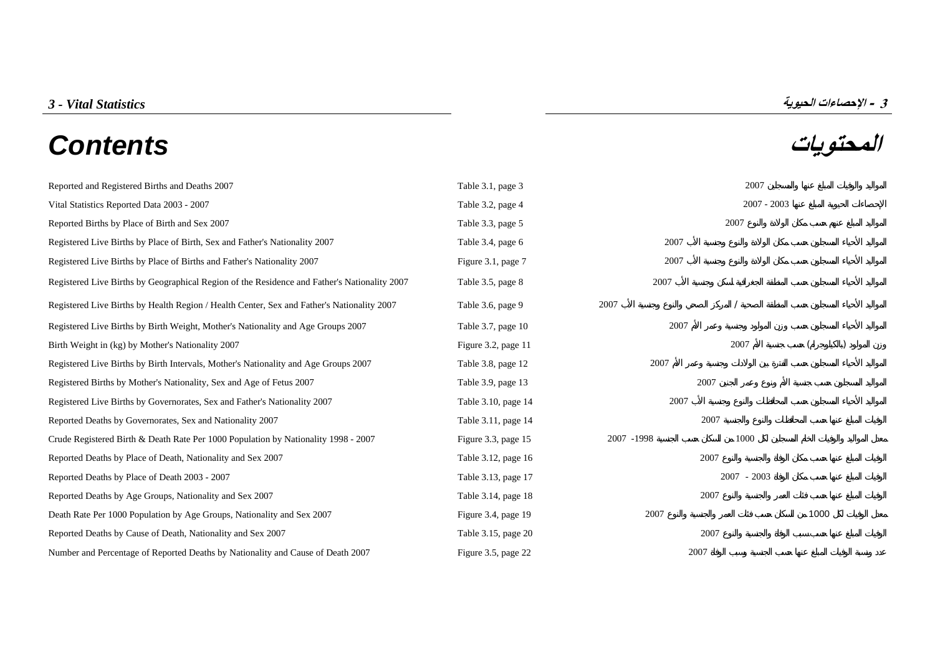# **المحتويات** *Contents*



| Reported and Registered Births and Deaths 2007                                               | Table 3.1, page 3   |            | 2007          |      |  |
|----------------------------------------------------------------------------------------------|---------------------|------------|---------------|------|--|
| Vital Statistics Reported Data 2003 - 2007                                                   | Table 3.2, page 4   |            | $2007 - 2003$ |      |  |
| Reported Births by Place of Birth and Sex 2007                                               | Table 3.3, page 5   |            | 2007          |      |  |
| Registered Live Births by Place of Birth, Sex and Father's Nationality 2007                  | Table 3.4, page 6   | 2007       |               |      |  |
| Registered Live Births by Place of Births and Father's Nationality 2007                      | Figure 3.1, page 7  | 2007       |               |      |  |
| Registered Live Births by Geographical Region of the Residence and Father's Nationality 2007 | Table 3.5, page 8   | 2007       |               |      |  |
| Registered Live Births by Health Region / Health Center, Sex and Father's Nationality 2007   | Table 3.6, page 9   | 2007       |               |      |  |
| Registered Live Births by Birth Weight, Mother's Nationality and Age Groups 2007             | Table 3.7, page 10  | 2007       |               |      |  |
| Birth Weight in (kg) by Mother's Nationality 2007                                            | Figure 3.2, page 11 |            | 2007          |      |  |
| Registered Live Births by Birth Intervals, Mother's Nationality and Age Groups 2007          | Table 3.8, page 12  | 2007       |               |      |  |
| Registered Births by Mother's Nationality, Sex and Age of Fetus 2007                         | Table 3.9, page 13  |            | 2007          |      |  |
| Registered Live Births by Governorates, Sex and Father's Nationality 2007                    | Table 3.10, page 14 | 2007       |               |      |  |
| Reported Deaths by Governorates, Sex and Nationality 2007                                    | Table 3.11, page 14 |            | 2007          |      |  |
| Crude Registered Birth & Death Rate Per 1000 Population by Nationality 1998 - 2007           | Figure 3.3, page 15 | 2007 -1998 | 1000          |      |  |
| Reported Deaths by Place of Death, Nationality and Sex 2007                                  | Table 3.12, page 16 |            | 2007          |      |  |
| Reported Deaths by Place of Death 2003 - 2007                                                | Table 3.13, page 17 |            | $2007 - 2003$ |      |  |
| Reported Deaths by Age Groups, Nationality and Sex 2007                                      | Table 3.14, page 18 |            | 2007          |      |  |
| Death Rate Per 1000 Population by Age Groups, Nationality and Sex 2007                       | Figure 3.4, page 19 | 2007       |               | 1000 |  |
| Reported Deaths by Cause of Death, Nationality and Sex 2007                                  | Table 3.15, page 20 |            | 2007          |      |  |
| Number and Percentage of Reported Deaths by Nationality and Cause of Death 2007              | Figure 3.5, page 22 |            | 2007          |      |  |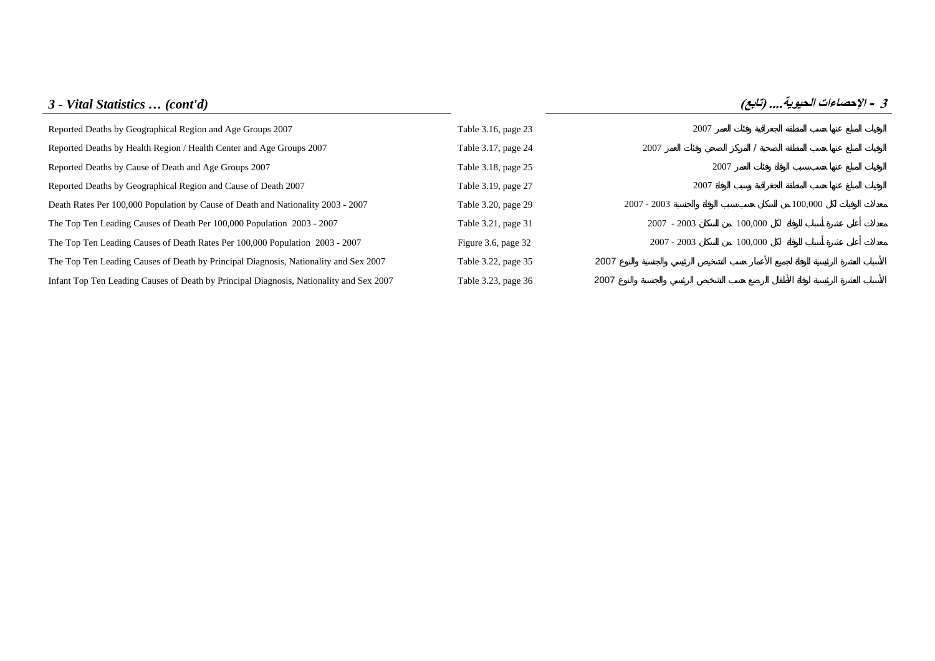# *3 - Vital Statistics … (cont'd)* **(تابع (....الحيوية الإحصاءات - <sup>3</sup>** [Reported Deaths by Geographical Region and Age Groups 2007 Table 3.16, page 23 2007](#page-23-0) [Reported Deaths by Health Region / Health Center and Age Groups 2007 Table 3.17, page 24 2007](#page-24-0) 2007 [Reported Deaths by Cause of Death and Age Groups 2007 Table 3.18, page 25 2007](#page-25-0) [Reported Deaths by Geographical Region and Cause of Death 2007 Table 3.19, page 27 2007](#page-27-0) [Death Rates Per 100,000 Population by Cause of Death and Nationality 2003 - 2007 Table 3.20, page 29 2007](#page-29-0) - 2003 2007 - 2003 100,000 The Top Ten Leading Causes of Death Per 100,000 Population 2003 - 2007 <br>
Table 3.21, page 31 2007 - 2003 100,000 [The Top Ten Leading Causes of Death Rates Per 100,000 Population 2003 - 2007 Figure 3.6, page 32 2007](#page-32-0) - 2003 100,000 [The Top Ten Leading Causes of Death by Principal Diagnosis, Nationality and Sex 2007 Table 3.22, page 35](#page-35-0) 2007 [Infant Top Ten Leading Causes of Death by Principal Diagnosis, Nationality and Sex 2007 Table 3.23, page 36](#page-36-0) 2007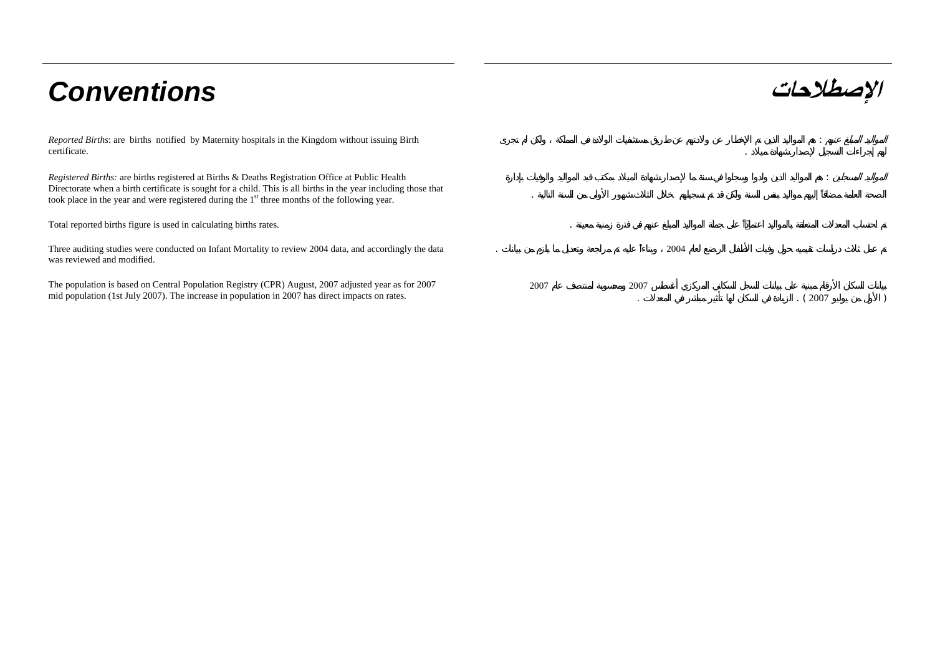# **الإصطلاحات** *Conventions*

*Reported Births*: are births notified by Maternity hospitals in the Kingdom without issuing Birth certificate.

*Registered Births:* are births registered at Births & Deaths Registration Office at Public Health Directorate when a birth certificate is sought for a child. This is all births in the year including those that took place in the year and were registered during the 1<sup>st</sup> three months of the following year.

Total reported births figure is used in calculating births rates. .

Three auditing studies were conducted on Infant Mortality to review 2004 data, and accordingly the data was reviewed and modified.

The population is based on Central Population Registry (CPR) August, 2007 adjusted year as for 2007 mid population (1st July 2007). The increase in population in 2007 has direct impacts on rates.

|   |                        |                   |      | $\cdot$ | ÷                    |  |
|---|------------------------|-------------------|------|---------|----------------------|--|
|   |                        |                   |      |         | $\ddot{\phantom{a}}$ |  |
|   | $\bullet$<br>$\bullet$ |                   |      |         |                      |  |
| ٠ |                        |                   | 2004 |         |                      |  |
|   | 2007                   | 2007<br>$\bullet$ |      |         | . ( $2007\,$         |  |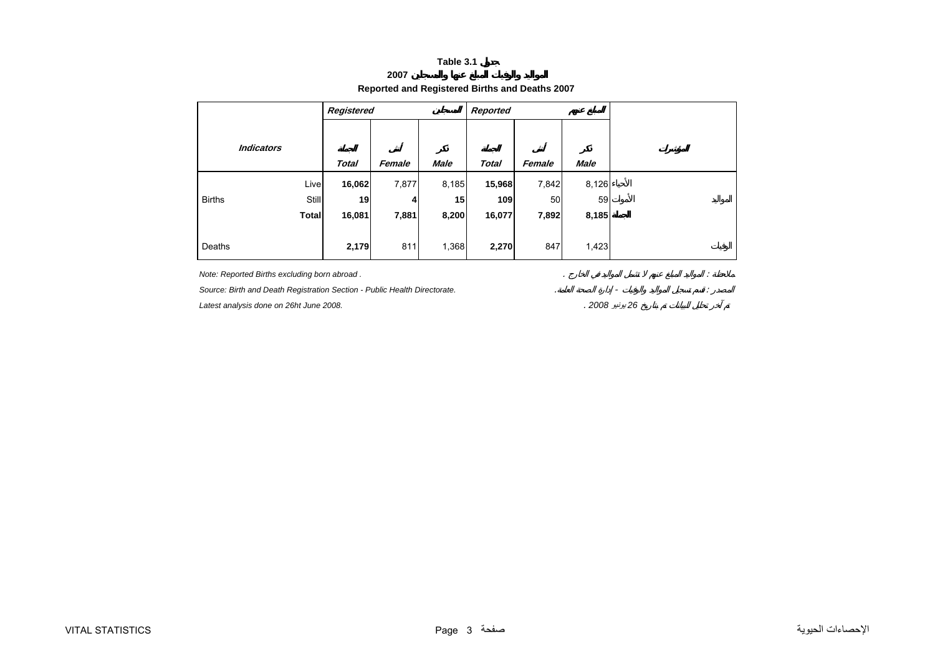#### **2007 Reported and Registered Births and Deaths 2007**

<span id="page-3-0"></span>

|               |                   | Registered   |        |             | Reported     |        |             |
|---------------|-------------------|--------------|--------|-------------|--------------|--------|-------------|
|               |                   |              |        |             |              |        |             |
|               | <b>Indicators</b> |              |        |             |              |        |             |
|               |                   | <b>Total</b> | Female | <b>Male</b> | <b>Total</b> | Female | <b>Male</b> |
|               | Live              | 16,062       | 7,877  | 8,185       | 15,968       | 7,842  | 8,126       |
| <b>Births</b> | <b>Still</b>      | 19           | 4      | 15          | 109          | 50     | 59          |
|               | <b>Total</b>      | 16,081       | 7,881  | 8,200       | 16,077       | 7,892  | 8,185       |
|               |                   |              |        |             |              |        |             |
| Deaths        |                   | 2,179        | 811    | 1,368       | 2,270        | 847    | 1,423       |

*Note: Reported Births excluding born abroad .* . :

Source: Birth and Death Registration Section - Public Health Directorate.

*Latest analysis done on 26ht June 2008.* . *2008* يونيو *26*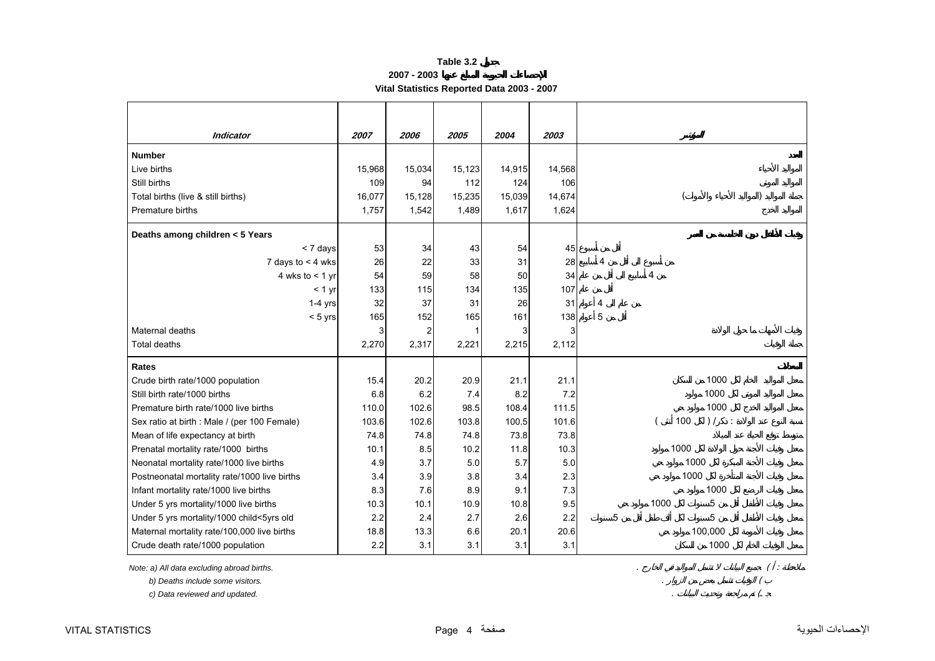**2007 - 2003**

**Vital Statistics Reported Data 2003 - 2007** 

<span id="page-4-0"></span>

| <b>Indicator</b>                             | 2007   | 2006           | 2005   | 2004   | 2003   |      |                 |
|----------------------------------------------|--------|----------------|--------|--------|--------|------|-----------------|
| <b>Number</b>                                |        |                |        |        |        |      |                 |
| Live births                                  | 15,968 | 15,034         | 15,123 | 14,915 | 14,568 |      |                 |
| Still births                                 | 109    | 94             | 112    | 124    | 106    |      |                 |
| Total births (live & still births)           | 16,077 | 15,128         | 15,235 | 15,039 | 14,674 |      |                 |
| Premature births                             | 1,757  | 1,542          | 1,489  | 1,617  | 1,624  |      |                 |
| Deaths among children < 5 Years              |        |                |        |        |        |      |                 |
| < 7 days                                     | 53     | 34             | 43     | 54     | 45     |      |                 |
| 7 days to $<$ 4 wks                          | 26     | 22             | 33     | 31     | 28     | 4    |                 |
| 4 wks to $<$ 1 yr                            | 54     | 59             | 58     | 50     | 34     | 4    |                 |
| < 1 yr                                       | 133    | 115            | 134    | 135    | 107    |      |                 |
| $1-4$ yrs                                    | 32     | 37             | 31     | 26     | 31     | 4    |                 |
| $< 5$ yrs                                    | 165    | 152            | 165    | 161    | 138    | 5    |                 |
| Maternal deaths                              | 3      | $\overline{c}$ |        | 3      | 3      |      |                 |
| Total deaths                                 | 2,270  | 2,317          | 2,221  | 2,215  | 2,112  |      |                 |
| <b>Rates</b>                                 |        |                |        |        |        |      |                 |
| Crude birth rate/1000 population             | 15.4   | 20.2           | 20.9   | 21.1   | 21.1   |      | 1000            |
| Still birth rate/1000 births                 | 6.8    | 6.2            | 7.4    | 8.2    | 7.2    |      | 1000            |
| Premature birth rate/1000 live births        | 110.0  | 102.6          | 98.5   | 108.4  | 111.5  |      | 1000            |
| Sex ratio at birth : Male / (per 100 Female) | 103.6  | 102.6          | 103.8  | 100.5  | 101.6  | 100  | ) /<br>$\sim$ 1 |
| Mean of life expectancy at birth             | 74.8   | 74.8           | 74.8   | 73.8   | 73.8   |      |                 |
| Prenatal mortality rate/1000 births          | 10.1   | 8.5            | 10.2   | 11.8   | 10.3   | 1000 |                 |
| Neonatal mortality rate/1000 live births     | 4.9    | 3.7            | 5.0    | 5.7    | 5.0    |      | 1000            |
| Postneonatal mortality rate/1000 live births | 3.4    | 3.9            | 3.8    | 3.4    | 2.3    | 1000 |                 |
| Infant mortality rate/1000 live births       | 8.3    | 7.6            | 8.9    | 9.1    | 7.3    |      | 1000            |
| Under 5 yrs mortality/1000 live births       | 10.3   | 10.1           | 10.9   | 10.8   | 9.5    | 1000 | 5               |
| Under 5 yrs mortality/1000 child<5yrs old    | 2.2    | 2.4            | 2.7    | 2.6    | 2.2    | 5    | 5               |
| Maternal mortality rate/100,000 live births  | 18.8   | 13.3           | 6.6    | 20.1   | 20.6   |      | 100,000         |
| Crude death rate/1000 population             | 2.2    | 3.1            | 3.1    | 3.1    | 3.1    |      | 1000            |

*Note: a) All data excluding abroad births.* . ( :

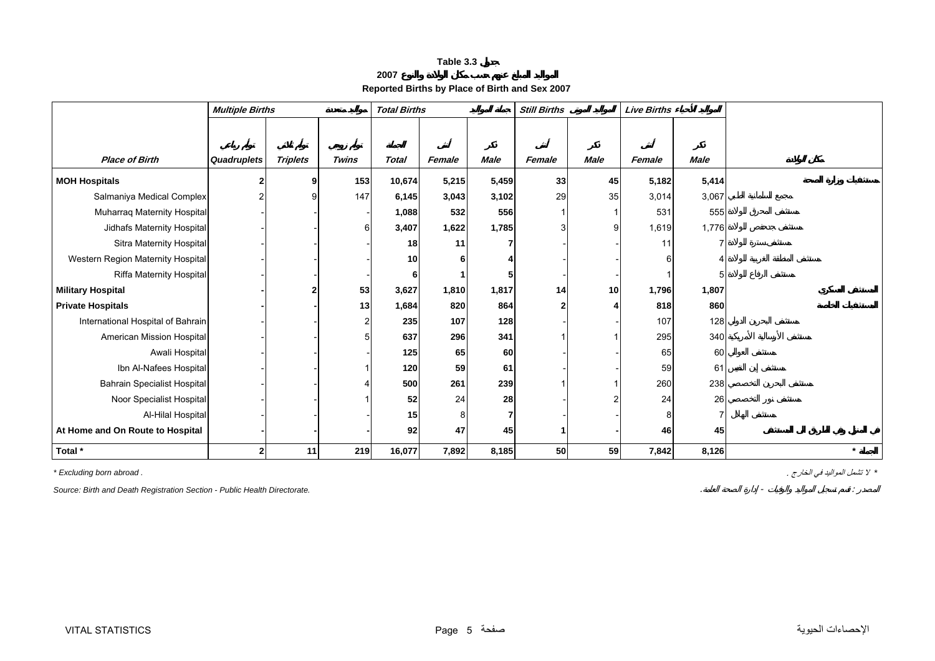**2007**

# **Reported Births by Place of Birth and Sex 2007**

<span id="page-5-0"></span>

|                                   | <b>Multiple Births</b> |                 |                  | <b>Total Births</b> |        |             | <b>Still Births</b> |             | <b>Live Births</b> |             |         |
|-----------------------------------|------------------------|-----------------|------------------|---------------------|--------|-------------|---------------------|-------------|--------------------|-------------|---------|
|                                   |                        |                 |                  |                     |        |             |                     |             |                    |             |         |
|                                   |                        |                 |                  |                     |        |             |                     |             |                    |             |         |
| <b>Place of Birth</b>             | Quadruplets            | <b>Triplets</b> | <b>Twins</b>     | <b>Total</b>        | Female | <b>Male</b> | Female              | <b>Male</b> | Female             | <b>Male</b> |         |
| <b>MOH Hospitals</b>              |                        |                 | 153              | 10,674              | 5,215  | 5,459       | 33                  | 45          | 5,182              | 5,414       |         |
| Salmaniya Medical Complex         |                        |                 | 147              | 6,145               | 3,043  | 3,102       | 29                  | 35          | 3,014              | 3,067       |         |
| Muharraq Maternity Hospital       |                        |                 |                  | 1,088               | 532    | 556         |                     |             | 531                | 555         |         |
| Jidhafs Maternity Hospital        |                        |                 | $6 \overline{6}$ | 3,407               | 1,622  | 1,785       | 3                   |             | 1,619              | 1,776       |         |
| Sitra Maternity Hospital          |                        |                 |                  | 18                  | 11     |             |                     |             | 11                 |             |         |
| Western Region Maternity Hospital |                        |                 |                  | 10                  |        |             |                     |             |                    |             |         |
| Riffa Maternity Hospital          |                        |                 |                  |                     |        |             |                     |             |                    |             |         |
| <b>Military Hospital</b>          |                        |                 | 53               | 3,627               | 1,810  | 1,817       | 14                  | 10          | 1,796              | 1,807       |         |
| <b>Private Hospitals</b>          |                        |                 | 13               | 1,684               | 820    | 864         | 2                   |             | 818                | 860         |         |
| International Hospital of Bahrain |                        |                 | $\mathbf{2}$     | 235                 | 107    | 128         |                     |             | 107                | 128         |         |
| American Mission Hospital         |                        |                 | 5                | 637                 | 296    | 341         |                     |             | 295                | 340         |         |
| Awali Hospital                    |                        |                 |                  | 125                 | 65     | 60          |                     |             | 65                 | 60          |         |
| Ibn Al-Nafees Hospital            |                        |                 |                  | 120                 | 59     | 61          |                     |             | 59                 | 61          |         |
| Bahrain Specialist Hospital       |                        |                 | 4                | 500                 | 261    | 239         |                     |             | 260                | 238         |         |
| Noor Specialist Hospital          |                        |                 |                  | 52                  | 24     | 28          |                     |             | 24                 | 26          |         |
| Al-Hilal Hospital                 |                        |                 |                  | 15                  |        |             |                     |             |                    |             |         |
| At Home and On Route to Hospital  |                        |                 |                  | 92                  | 47     | 45          |                     |             | 46                 | 45          |         |
| Total *                           |                        | 11              | 219              | 16,077              | 7,892  | 8,185       | 50                  | 59          | 7,842              | 8,126       | $\star$ |

*Source: Birth and Death Registration Section - Public Health Directorate.* . - :

*\** لا تشمل المواليد في الخارج . *. abroad born Excluding\**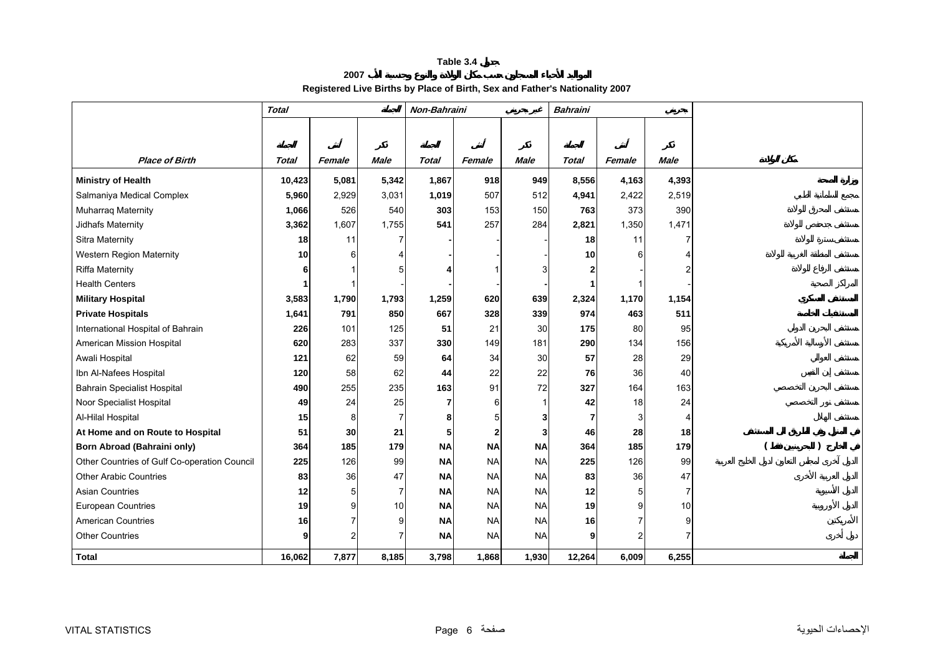#### **2007 Registered Live Births by Place of Birth, Sex and Father's Nationality 2007**

<span id="page-6-0"></span>

|                                              | <b>Total</b> |                |                | Non-Bahraini |              |             | <b>Bahraini</b> |        |                |  |
|----------------------------------------------|--------------|----------------|----------------|--------------|--------------|-------------|-----------------|--------|----------------|--|
|                                              |              |                |                |              |              |             |                 |        |                |  |
|                                              |              |                |                |              |              |             |                 |        |                |  |
| <b>Place of Birth</b>                        | <b>Total</b> | Female         | <b>Male</b>    | <b>Total</b> | Female       | <b>Male</b> | <b>Total</b>    | Female | <b>Male</b>    |  |
| <b>Ministry of Health</b>                    | 10,423       | 5,081          | 5,342          | 1,867        | 918          | 949         | 8,556           | 4,163  | 4,393          |  |
| Salmaniya Medical Complex                    | 5,960        | 2,929          | 3,031          | 1,019        | 507          | 512         | 4,941           | 2,422  | 2,519          |  |
| Muharraq Maternity                           | 1,066        | 526            | 540            | 303          | 153          | 150         | 763             | 373    | 390            |  |
| Jidhafs Maternity                            | 3,362        | 1,607          | 1,755          | 541          | 257          | 284         | 2,821           | 1,350  | 1,471          |  |
| Sitra Maternity                              | 18           | 11             | 7              |              |              |             | 18              | 11     |                |  |
| <b>Western Region Maternity</b>              | 10           | 6              | Δ              |              |              |             | 10 <sup>1</sup> |        |                |  |
| <b>Riffa Maternity</b>                       | 6            |                |                |              |              |             |                 |        |                |  |
| <b>Health Centers</b>                        |              |                |                |              |              |             |                 |        |                |  |
| <b>Military Hospital</b>                     | 3,583        | 1,790          | 1,793          | 1,259        | 620          | 639         | 2,324           | 1,170  | 1,154          |  |
| <b>Private Hospitals</b>                     | 1,641        | 791            | 850            | 667          | 328          | 339         | 974             | 463    | 511            |  |
| International Hospital of Bahrain            | 226          | 101            | 125            | 51           | 21           | 30          | 175             | 80     | 95             |  |
| American Mission Hospital                    | 620          | 283            | 337            | 330          | 149          | 181         | 290             | 134    | 156            |  |
| Awali Hospital                               | 121          | 62             | 59             | 64           | 34           | 30          | 57              | 28     | 29             |  |
| Ibn Al-Nafees Hospital                       | 120          | 58             | 62             | 44           | 22           | 22          | 76              | 36     | 40             |  |
| <b>Bahrain Specialist Hospital</b>           | 490          | 255            | 235            | 163          | 91           | 72          | 327             | 164    | 163            |  |
| Noor Specialist Hospital                     | 49           | 24             | 25             | 7            | 6            |             | 42              | 18     | 24             |  |
| Al-Hilal Hospital                            | 15           | 8              | $\overline{7}$ | 8            | 5            | 3           | $\overline{7}$  |        | $\overline{4}$ |  |
| At Home and on Route to Hospital             | 51           | 30             | 21             | 5            | $\mathbf{2}$ |             | 46              | 28     | 18             |  |
| <b>Born Abroad (Bahraini only)</b>           | 364          | 185            | 179            | <b>NA</b>    | <b>NA</b>    | <b>NA</b>   | 364             | 185    | 179            |  |
| Other Countries of Gulf Co-operation Council | 225          | 126            | 99             | <b>NA</b>    | <b>NA</b>    | <b>NA</b>   | 225             | 126    | 99             |  |
| <b>Other Arabic Countries</b>                | 83           | 36             | 47             | <b>NA</b>    | <b>NA</b>    | <b>NA</b>   | 83              | 36     | 47             |  |
| <b>Asian Countries</b>                       | 12           | 5              | $\overline{7}$ | <b>NA</b>    | <b>NA</b>    | <b>NA</b>   | 12              |        | $\overline{7}$ |  |
| <b>European Countries</b>                    | 19           | 9              | 10             | <b>NA</b>    | <b>NA</b>    | <b>NA</b>   | 19              |        | 10             |  |
| <b>American Countries</b>                    | 16           | 7              | 9              | <b>NA</b>    | <b>NA</b>    | <b>NA</b>   | 16 <sup>1</sup> |        | 9              |  |
| <b>Other Countries</b>                       | 9            | $\overline{2}$ | 7              | <b>NA</b>    | <b>NA</b>    | <b>NA</b>   | 9               |        |                |  |
| <b>Total</b>                                 | 16,062       | 7,877          | 8,185          | 3,798        | 1,868        | 1,930       | 12,264          | 6,009  | 6,255          |  |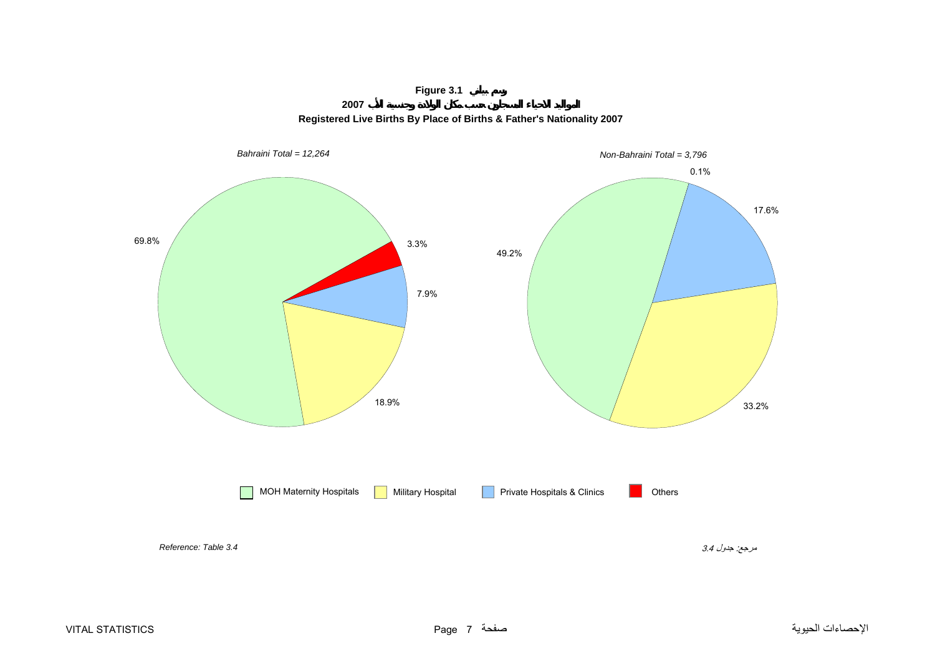# **Figure 3.1**





<span id="page-7-0"></span>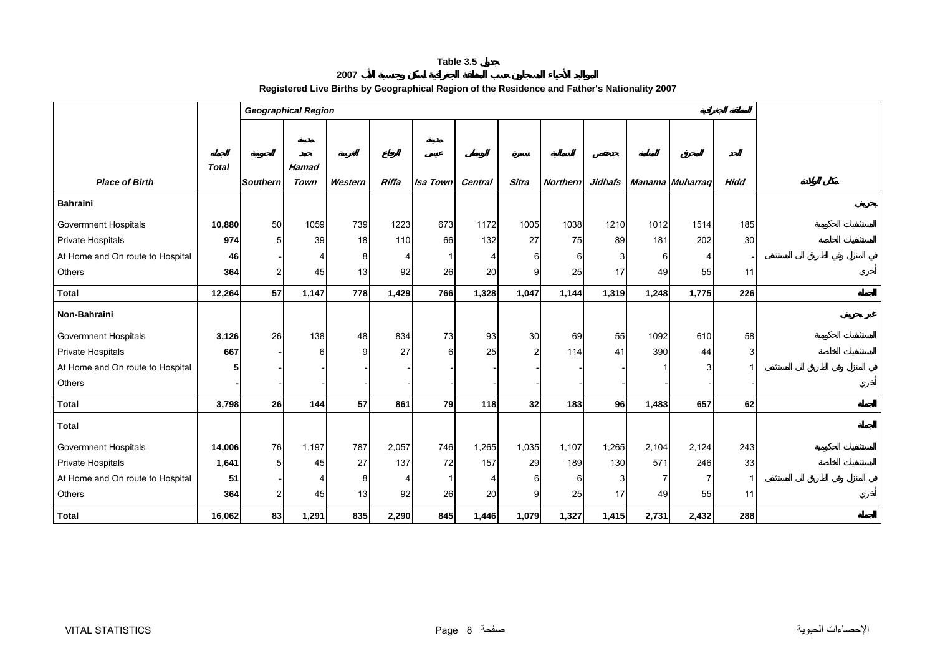#### **2007 Registered Live Births by Geographical Region of the Residence and Father's Nationality 2007**

<span id="page-8-0"></span>

|                                  |              |                 | <b>Geographical Region</b> |         |                       |                 |         |                |                 |           |       |                  |             |  |
|----------------------------------|--------------|-----------------|----------------------------|---------|-----------------------|-----------------|---------|----------------|-----------------|-----------|-------|------------------|-------------|--|
|                                  |              |                 |                            |         |                       |                 |         |                |                 |           |       |                  |             |  |
|                                  |              |                 |                            |         |                       |                 |         |                |                 |           |       |                  |             |  |
|                                  | <b>Total</b> |                 | Hamad                      |         |                       |                 |         |                |                 |           |       |                  |             |  |
| <b>Place of Birth</b>            |              | <b>Southern</b> | Town                       | Western | Riffa                 | <b>Isa Town</b> | Central | <b>Sitra</b>   | <b>Northern</b> | Jidhafs   |       | Manama Muharraq  | <b>Hidd</b> |  |
| <b>Bahraini</b>                  |              |                 |                            |         |                       |                 |         |                |                 |           |       |                  |             |  |
| <b>Govermnent Hospitals</b>      | 10,880       | 50              | 1059                       | 739     | 1223                  | 673             | 1172    | 1005           | 1038            | 1210      | 1012  | 1514             | 185         |  |
| Private Hospitals                | 974          | 5               | 39                         | 18      | 110                   | 66              | 132     | 27             | 75              | 89        | 181   | 202              | 30          |  |
| At Home and On route to Hospital | 46           |                 |                            | 8       | $\boldsymbol{\Delta}$ |                 |         | 6              | 6               |           | 6     | $\boldsymbol{4}$ |             |  |
| Others                           | 364          | $\overline{c}$  | 45                         | 13      | 92                    | 26              | 20      | 9              | 25              | 17        | 49    | 55               | 11          |  |
| <b>Total</b>                     | 12,264       | 57              | 1,147                      | 778     | 1,429                 | 766             | 1,328   | 1,047          | 1,144           | 1,319     | 1,248 | 1,775            | 226         |  |
| Non-Bahraini                     |              |                 |                            |         |                       |                 |         |                |                 |           |       |                  |             |  |
| <b>Govermnent Hospitals</b>      | 3,126        | 26              | 138                        | 48      | 834                   | 73              | 93      | 30             | 69              | 55        | 1092  | 610              | 58          |  |
| Private Hospitals                | 667          |                 | 6                          | 9       | 27                    | 6               | 25      | $\overline{2}$ | 114             | 41        | 390   | 44               | 3           |  |
| At Home and On route to Hospital | 5            |                 |                            |         |                       |                 |         |                |                 |           |       |                  |             |  |
| Others                           |              |                 |                            |         |                       |                 |         |                |                 |           |       |                  |             |  |
| <b>Total</b>                     | 3,798        | 26              | 144                        | 57      | 861                   | 79              | 118     | 32             | 183             | <b>96</b> | 1,483 | 657              | 62          |  |
| <b>Total</b>                     |              |                 |                            |         |                       |                 |         |                |                 |           |       |                  |             |  |
| <b>Govermnent Hospitals</b>      | 14,006       | 76              | 1,197                      | 787     | 2,057                 | 746             | 1,265   | 1,035          | 1,107           | 1,265     | 2,104 | 2,124            | 243         |  |
| Private Hospitals                | 1,641        | 5 <sub>5</sub>  | 45                         | 27      | 137                   | 72              | 157     | 29             | 189             | 130       | 571   | 246              | 33          |  |
| At Home and On route to Hospital | 51           |                 |                            | 8       | $\overline{4}$        |                 |         | 6              |                 |           |       | $\overline{7}$   |             |  |
| Others                           | 364          | $\mathbf{2}$    | 45                         | 13      | 92                    | 26              | 20      | 9              | 25              | 17        | 49    | 55               | 11          |  |
| <b>Total</b>                     | 16,062       | 83              | 1,291                      | 835     | 2,290                 | 845             | 1,446   | 1,079          | 1,327           | 1,415     | 2,731 | 2,432            | 288         |  |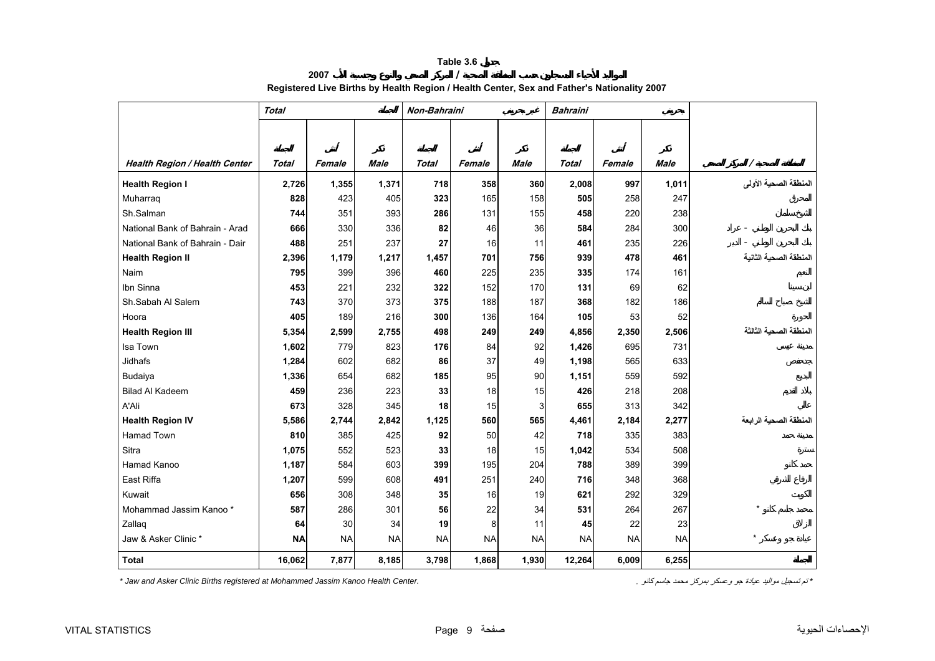# **2007 / Registered Live Births by Health Region / Health Center, Sex and Father's Nationality 2007**

<span id="page-9-0"></span>

|                                      | <b>Total</b> |           |           | Non-Bahraini |           |           | <b>Bahraini</b> |           |             |                        |
|--------------------------------------|--------------|-----------|-----------|--------------|-----------|-----------|-----------------|-----------|-------------|------------------------|
|                                      |              |           |           |              |           |           |                 |           |             |                        |
|                                      |              |           |           |              |           |           |                 |           |             |                        |
| <b>Health Region / Health Center</b> | Total        | Female    | Male      | Total        | Female    | Male      | Total           | Female    | <b>Male</b> | Ι                      |
| <b>Health Region I</b>               | 2,726        | 1,355     | 1,371     | 718          | 358       | 360       | 2,008           | 997       | 1,011       | المنطقة الصحية الأولى  |
| Muharraq                             | 828          | 423       | 405       | 323          | 165       | 158       | 505             | 258       | 247         |                        |
| Sh.Salman                            | 744          | 351       | 393       | 286          | 131       | 155       | 458             | 220       | 238         |                        |
| National Bank of Bahrain - Arad      | 666          | 330       | 336       | 82           | 46        | 36        | 584             | 284       | 300         |                        |
| National Bank of Bahrain - Dair      | 488          | 251       | 237       | 27           | 16        | 11        | 461             | 235       | 226         |                        |
| <b>Health Region II</b>              | 2,396        | 1,179     | 1,217     | 1,457        | 701       | 756       | 939             | 478       | 461         | المنطقة الصحية الثانية |
| Naim                                 | 795          | 399       | 396       | 460          | 225       | 235       | 335             | 174       | 161         |                        |
| Ibn Sinna                            | 453          | 221       | 232       | 322          | 152       | 170       | 131             | 69        | 62          |                        |
| Sh.Sabah Al Salem                    | 743          | 370       | 373       | 375          | 188       | 187       | 368             | 182       | 186         |                        |
| Hoora                                | 405          | 189       | 216       | 300          | 136       | 164       | 105             | 53        | 52          |                        |
| <b>Health Region III</b>             | 5,354        | 2,599     | 2,755     | 498          | 249       | 249       | 4,856           | 2,350     | 2,506       | المنطقة الصحية الثالثة |
| Isa Town                             | 1,602        | 779       | 823       | 176          | 84        | 92        | 1,426           | 695       | 731         |                        |
| Jidhafs                              | 1,284        | 602       | 682       | 86           | 37        | 49        | 1,198           | 565       | 633         |                        |
| Budaiya                              | 1,336        | 654       | 682       | 185          | 95        | 90        | 1,151           | 559       | 592         |                        |
| <b>Bilad Al Kadeem</b>               | 459          | 236       | 223       | 33           | 18        | 15        | 426             | 218       | 208         |                        |
| A'Ali                                | 673          | 328       | 345       | 18           | 15        | 3         | 655             | 313       | 342         |                        |
| <b>Health Region IV</b>              | 5,586        | 2,744     | 2,842     | 1,125        | 560       | 565       | 4,461           | 2,184     | 2,277       | المنطقة الصحية الرابعة |
| <b>Hamad Town</b>                    | 810          | 385       | 425       | 92           | 50        | 42        | 718             | 335       | 383         |                        |
| Sitra                                | 1,075        | 552       | 523       | 33           | 18        | 15        | 1,042           | 534       | 508         |                        |
| Hamad Kanoo                          | 1,187        | 584       | 603       | 399          | 195       | 204       | 788             | 389       | 399         |                        |
| East Riffa                           | 1,207        | 599       | 608       | 491          | 251       | 240       | 716             | 348       | 368         |                        |
| Kuwait                               | 656          | 308       | 348       | 35           | 16        | 19        | 621             | 292       | 329         |                        |
| Mohammad Jassim Kanoo *              | 587          | 286       | 301       | 56           | 22        | 34        | 531             | 264       | 267         |                        |
| Zallaq                               | 64           | 30        | 34        | 19           | 8         | 11        | 45              | 22        | 23          |                        |
| Jaw & Asker Clinic *                 | <b>NA</b>    | <b>NA</b> | <b>NA</b> | <b>NA</b>    | <b>NA</b> | <b>NA</b> | <b>NA</b>       | <b>NA</b> | <b>NA</b>   |                        |
| <b>Total</b>                         | 16,062       | 7,877     | 8,185     | 3,798        | 1,868     | 1,930     | 12,264          | 6,009     | 6,255       |                        |

*\* Jaw and Asker Clinic Births registered at Mohammed Jassim Kanoo Health Center. .* آانو جاسم محمد بمرآز وعسكر جو عيادة مواليد تسجيل تم*\**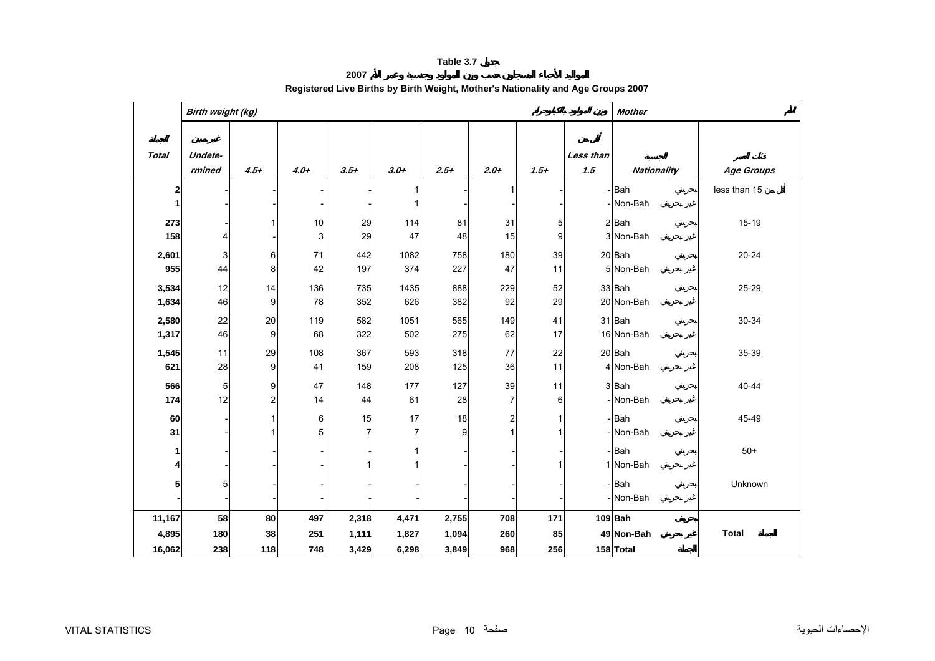**2007**

<span id="page-10-0"></span>

|              | Birth weight (kg)         |                |        |                |        |        |                         |        |                  | <b>Mother</b>      |                   |
|--------------|---------------------------|----------------|--------|----------------|--------|--------|-------------------------|--------|------------------|--------------------|-------------------|
| <b>Total</b> | Undete-<br>rmined         | $4.5+$         | $4.0+$ | $3.5+$         | $3.0+$ | $2.5+$ | $2.0+$                  | $1.5+$ | Less than<br>1.5 | <b>Nationality</b> | <b>Age Groups</b> |
| 2            |                           |                |        |                |        |        | 1                       |        |                  | Bah                | less than 15      |
| 1            |                           |                |        |                |        |        |                         |        |                  | Non-Bah            |                   |
| 273          |                           |                | 10     | 29             | 114    | 81     | 31                      | 5      |                  | 2 Bah              | $15-19$           |
| 158          | 4                         |                | 3      | 29             | 47     | 48     | 15                      | 9      |                  | 3 Non-Bah          |                   |
| 2,601        | $\ensuremath{\mathsf{3}}$ | 6              | 71     | 442            | 1082   | 758    | 180                     | 39     |                  | 20 Bah             | 20-24             |
| 955          | 44                        | 8              | 42     | 197            | 374    | 227    | 47                      | 11     |                  | 5 Non-Bah          |                   |
| 3,534        | 12                        | 14             | 136    | 735            | 1435   | 888    | 229                     | 52     |                  | 33 Bah             | 25-29             |
| 1,634        | 46                        | 9              | 78     | 352            | 626    | 382    | 92                      | 29     |                  | 20 Non-Bah         |                   |
| 2,580        | 22                        | 20             | 119    | 582            | 1051   | 565    | 149                     | 41     |                  | 31 Bah             | 30-34             |
| 1,317        | 46                        | 9              | 68     | 322            | 502    | 275    | 62                      | 17     |                  | 16 Non-Bah         |                   |
| 1,545        | 11                        | 29             | 108    | 367            | 593    | 318    | 77                      | 22     |                  | 20 Bah             | 35-39             |
| 621          | 28                        | 9              | 41     | 159            | 208    | 125    | 36                      | 11     |                  | 4 Non-Bah          |                   |
| 566          | 5                         | 9              | 47     | 148            | 177    | 127    | 39                      | 11     |                  | 3 Bah              | 40-44             |
| 174          | 12                        | $\overline{c}$ | 14     | 44             | 61     | 28     | $\overline{7}$          | $6 \,$ |                  | Non-Bah            |                   |
| 60           |                           |                | 6      | 15             | 17     | 18     | $\overline{\mathbf{c}}$ |        |                  | - Bah              | 45-49             |
| 31           |                           |                | 5      | $\overline{7}$ | 7      | 9      | 1                       |        |                  | Non-Bah            |                   |
| 1            |                           |                |        |                |        |        |                         |        |                  | -Bah               | $50+$             |
| 4            |                           |                |        | 1              |        |        |                         |        |                  | 1 Non-Bah          |                   |
| 5            | $\mathbf 5$               |                |        |                |        |        |                         |        |                  | - Bah              | Unknown           |
|              |                           |                |        |                |        |        |                         |        |                  | Non-Bah            |                   |
| 11,167       | 58                        | 80             | 497    | 2,318          | 4,471  | 2,755  | 708                     | 171    |                  | $109$ Bah          |                   |
| 4,895        | 180                       | 38             | 251    | 1,111          | 1,827  | 1,094  | 260                     | 85     |                  | 49 Non-Bah         | <b>Total</b>      |
| 16,062       | 238                       | 118            | 748    | 3,429          | 6,298  | 3,849  | 968                     | 256    |                  | 158 Total          |                   |

# **Registered Live Births by Birth Weight, Mother's Nationality and Age Groups 2007**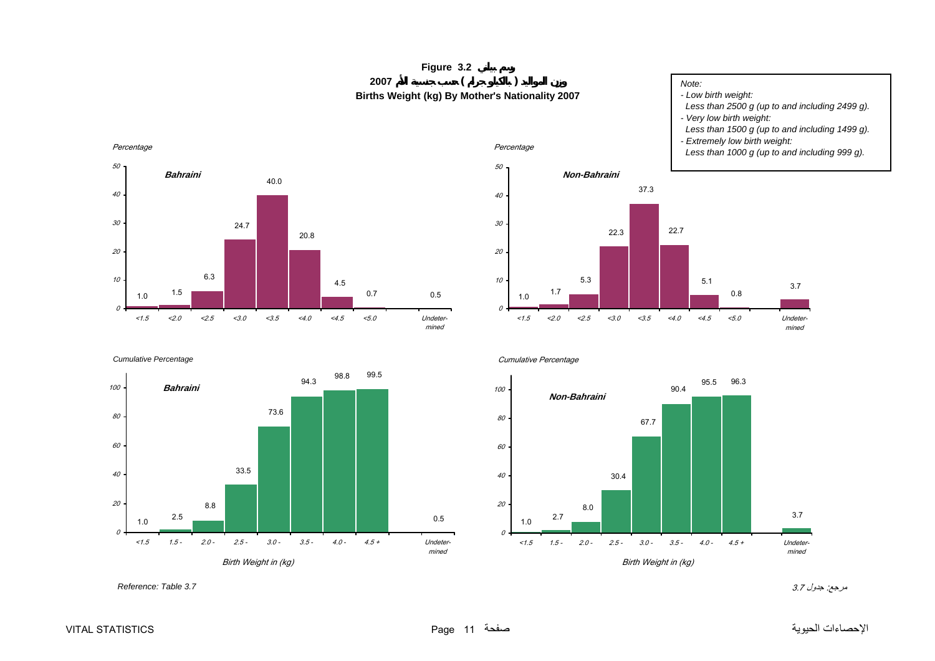# **Figure 3.2 <sup>2007</sup> ( ) Births Weight (kg) By Mother's Nationality 2007**

#### *Note:*

*- Low birth weight:*

- *Less than 2500 g (up to and including 2499 g).*
- *Very low birth weight:*
- *Less than 1500 g (up to and including 1499 g).*
- *Extremely low birth weight:*

0.8

5.1

22.7

37.3

22.3

5.3

**Non-Bahraini**

 *Less than 1000 g (up to and including 999 g).*

3.7

Undetermined

<span id="page-11-0"></span>







1.7

1.0

 $\theta$ 

10

20

30

40

50

Percentage



<1.5 <2.0 <2.5 <3.0 <3.5 <4.0 <4.5 <5.0

مرجع: جدول 3.7 *3.7 Table :Reference*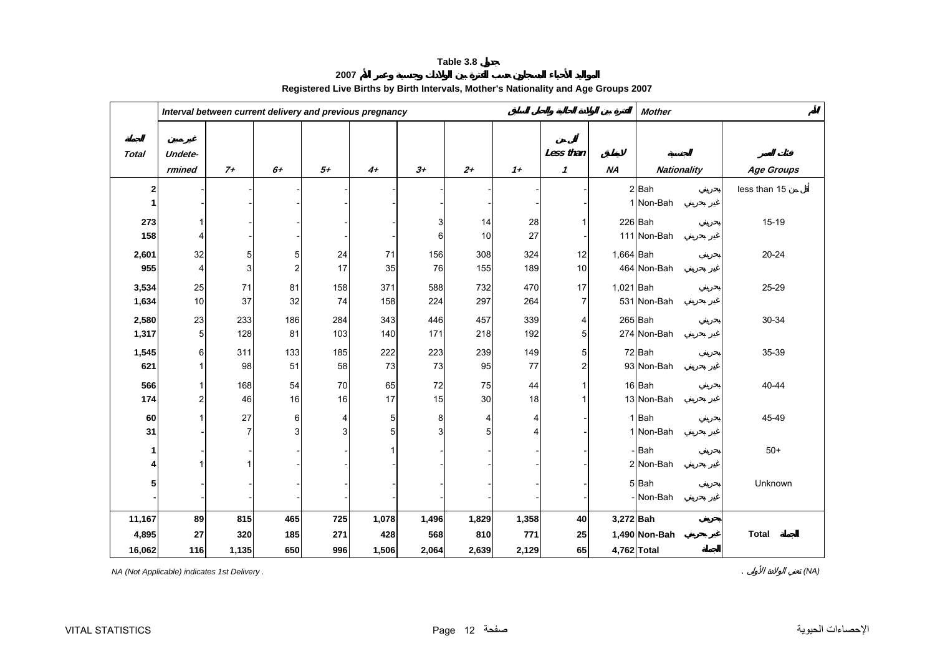**2007**

<span id="page-12-0"></span>

|              |                |                | Interval between current delivery and previous pregnancy |                |       |       |       |       |                         |             | <b>Mother</b>      |                   |
|--------------|----------------|----------------|----------------------------------------------------------|----------------|-------|-------|-------|-------|-------------------------|-------------|--------------------|-------------------|
|              |                |                |                                                          |                |       |       |       |       |                         |             |                    |                   |
| <b>Total</b> | Undete-        |                |                                                          |                |       |       |       |       | Less than               |             |                    |                   |
|              | rmined         | $7+$           | $6+$                                                     | $5+$           | $4+$  | $3+$  | $2 +$ | $1+$  | $\boldsymbol{\eta}$     | <b>NA</b>   | <b>Nationality</b> | <b>Age Groups</b> |
| 2            |                |                |                                                          |                |       |       |       |       |                         |             | $2$ $Bah$          | less than 15      |
|              |                |                |                                                          |                |       |       |       |       |                         |             | 1 Non-Bah          |                   |
| 273          |                |                |                                                          |                |       | 3     | 14    | 28    | 1                       |             | 226 Bah            | $15 - 19$         |
| 158          | 4              |                |                                                          |                |       | 6     | 10    | 27    |                         |             | 111 Non-Bah        |                   |
| 2,601        | 32             | 5              | 5                                                        | 24             | 71    | 156   | 308   | 324   | 12                      | 1,664 Bah   |                    | $20 - 24$         |
| 955          | $\overline{4}$ | $\mathbf{3}$   | $\overline{2}$                                           | 17             | 35    | 76    | 155   | 189   | 10                      |             | 464 Non-Bah        |                   |
| 3,534        | 25             | 71             | 81                                                       | 158            | 371   | 588   | 732   | 470   | 17                      | 1,021 Bah   |                    | 25-29             |
| 1,634        | 10             | 37             | 32                                                       | 74             | 158   | 224   | 297   | 264   | $\overline{7}$          |             | 531 Non-Bah        |                   |
| 2,580        | 23             | 233            | 186                                                      | 284            | 343   | 446   | 457   | 339   | 4                       |             | $265$ Bah          | 30-34             |
| 1,317        | 5              | 128            | 81                                                       | 103            | 140   | 171   | 218   | 192   | 5                       |             | 274 Non-Bah        |                   |
| 1,545        | 6              | 311            | 133                                                      | 185            | 222   | 223   | 239   | 149   | 5                       |             | 72 Bah             | 35-39             |
| 621          |                | 98             | 51                                                       | 58             | 73    | 73    | 95    | 77    | $\overline{\mathbf{c}}$ |             | 93 Non-Bah         |                   |
| 566          |                | 168            | 54                                                       | 70             | 65    | 72    | 75    | 44    | 1                       |             | 16 Bah             | 40-44             |
| 174          | 2              | 46             | 16                                                       | 16             | 17    | 15    | 30    | 18    | 1                       |             | 13 Non-Bah         |                   |
| 60           |                | 27             | 6                                                        | 4              | 5     | 8     | 4     | 4     |                         |             | $1$ Bah            | 45-49             |
| 31           |                | $\overline{7}$ | $\overline{3}$                                           | $\overline{3}$ | 5     | 3     | 5     | 4     |                         |             | 1 Non-Bah          |                   |
| 1            |                |                |                                                          |                |       |       |       |       |                         |             | - Bah              | $50+$             |
| 4            |                |                |                                                          |                |       |       |       |       |                         |             | 2 Non-Bah          |                   |
| 5            |                |                |                                                          |                |       |       |       |       |                         |             | 5Bah               | Unknown           |
|              |                |                |                                                          |                |       |       |       |       |                         |             | - Non-Bah          |                   |
| 11,167       | 89             | 815            | 465                                                      | 725            | 1,078 | 1,496 | 1,829 | 1,358 | 40                      | 3,272 Bah   |                    |                   |
| 4,895        | 27             | 320            | 185                                                      | 271            | 428   | 568   | 810   | 771   | 25                      |             | 1,490 Non-Bah      | <b>Total</b>      |
| 16,062       | 116            | 1,135          | 650                                                      | 996            | 1,506 | 2,064 | 2,639 | 2,129 | 65                      | 4,762 Total |                    |                   |

# **Registered Live Births by Birth Intervals, Mother's Nationality and Age Groups 2007**

*NA (Not Applicable) indicates 1st Delivery .* . *(NA)*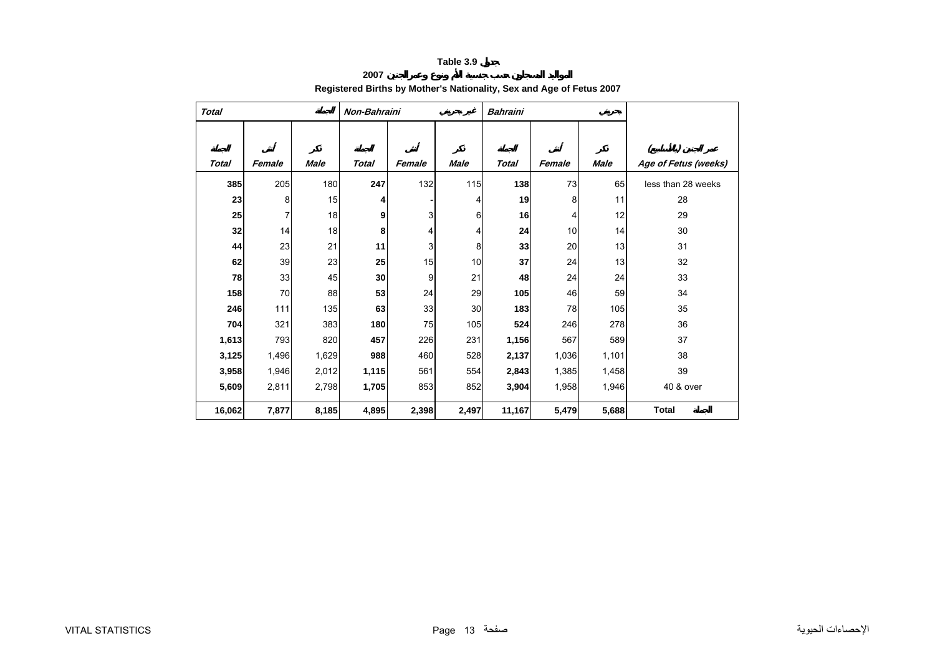**2007**

# **Registered Births by Mother's Nationality, Sex and Age of Fetus 2007**

<span id="page-13-0"></span>

| <b>Total</b> |        |             | Non-Bahraini |        |             | <b>Bahraini</b> |        |             |                                       |
|--------------|--------|-------------|--------------|--------|-------------|-----------------|--------|-------------|---------------------------------------|
| <b>Total</b> | Female | <b>Male</b> | <b>Total</b> | Female | <b>Male</b> | <b>Total</b>    | Female | <b>Male</b> | $\mathcal{I}$<br>Age of Fetus (weeks) |
| 385          | 205    | 180         | 247          | 132    | 115         | 138             | 73     | 65          | less than 28 weeks                    |
| 23           | 8      | 15          | 4            |        | 4           | 19              | 8      | 11          | 28                                    |
| 25           | 7      | 18          | 9            | 3      | 6           | 16              | 4      | 12          | 29                                    |
| 32           | 14     | 18          | 8            | 4      | 4           | 24              | 10     | 14          | 30                                    |
| 44           | 23     | 21          | 11           | 3      | 8           | 33              | 20     | 13          | 31                                    |
| 62           | 39     | 23          | 25           | 15     | 10          | 37              | 24     | 13          | 32                                    |
| 78           | 33     | 45          | 30           | 9      | 21          | 48              | 24     | 24          | 33                                    |
| 158          | 70     | 88          | 53           | 24     | 29          | 105             | 46     | 59          | 34                                    |
| 246          | $111$  | 135         | 63           | 33     | 30          | 183             | 78     | 105         | 35                                    |
| 704          | 321    | 383         | 180          | 75     | 105         | 524             | 246    | 278         | 36                                    |
| 1,613        | 793    | 820         | 457          | 226    | 231         | 1,156           | 567    | 589         | 37                                    |
| 3,125        | 1,496  | 1,629       | 988          | 460    | 528         | 2,137           | 1,036  | 1,101       | 38                                    |
| 3,958        | 1,946  | 2,012       | 1,115        | 561    | 554         | 2,843           | 1,385  | 1,458       | 39                                    |
| 5,609        | 2,811  | 2,798       | 1,705        | 853    | 852         | 3,904           | 1,958  | 1,946       | 40 & over                             |
| 16,062       | 7,877  | 8,185       | 4,895        | 2,398  | 2,497       | 11,167          | 5,479  | 5,688       | <b>Total</b>                          |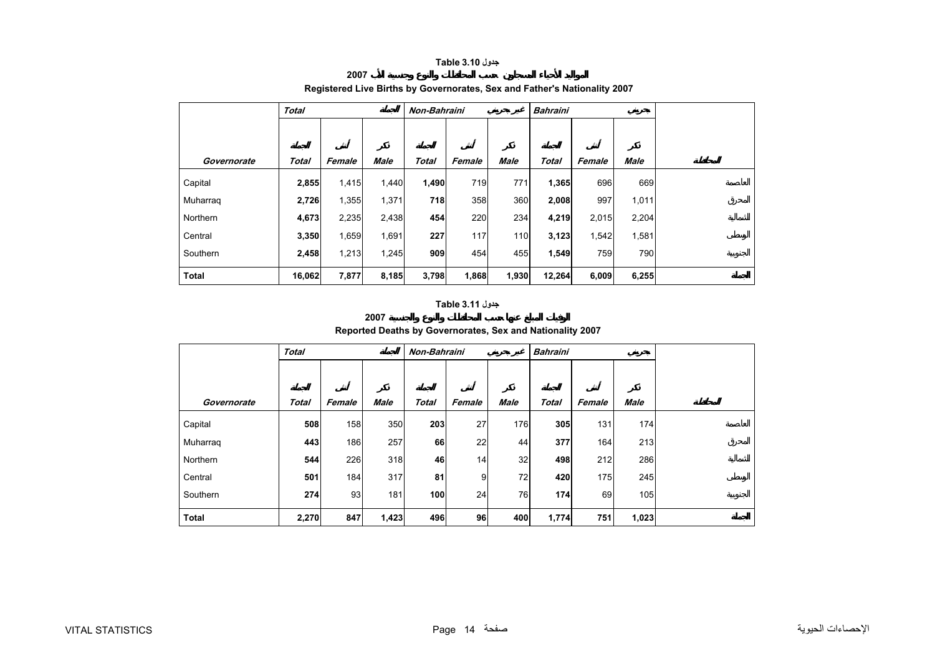## **جدول 3.10 Table**

**2007**

<span id="page-14-0"></span>

|              | Total        |        |       | Non-Bahraini |        |       | <b>Bahraini</b> |        |             |  |
|--------------|--------------|--------|-------|--------------|--------|-------|-----------------|--------|-------------|--|
|              |              |        |       |              |        |       |                 |        |             |  |
| Governorate  | <b>Total</b> | Female | Male  | <b>Total</b> | Female | Male  | Total           | Female | <b>Male</b> |  |
| Capital      | 2,855        | 1,415  | 1,440 | 1,490        | 719    | 771   | 1,365           | 696    | 669         |  |
| Muharraq     | 2,726        | 1,355  | 1,371 | 718          | 358    | 360   | 2,008           | 997    | 1,011       |  |
| Northern     | 4,673        | 2,235  | 2,438 | 454          | 220    | 234   | 4,219           | 2,015  | 2,204       |  |
| Central      | 3,350        | 1,659  | 1,691 | 227          | 117    | 110   | 3,123           | 1,542  | 1,581       |  |
| Southern     | 2,458        | 1,213  | 1,245 | 909          | 454    | 455   | 1,549           | 759    | 790         |  |
| <b>Total</b> | 16,062       | 7,877  | 8,185 | 3,798        | 1,868  | 1,930 | 12,264          | 6,009  | 6,255       |  |

# **Registered Live Births by Governorates, Sex and Father's Nationality 2007**

# **جدول 3.11 Table**

#### **2007 Reported Deaths by Governorates, Sex and Nationality 2007**

|              | <b>Total</b> |        |       | Non-Bahraini |        |             | <b>Bahraini</b> |        |       |  |
|--------------|--------------|--------|-------|--------------|--------|-------------|-----------------|--------|-------|--|
|              |              |        |       |              |        |             |                 |        |       |  |
| Governorate  | <b>Total</b> | Female | Male  | <b>Total</b> | Female | <b>Male</b> | Total           | Female | Male  |  |
| Capital      | 508          | 158    | 350   | 203          | 27     | 176         | 305             | 131    | 174   |  |
| Muharraq     | 443          | 186    | 257   | 66           | 22     | 44          | 377             | 164    | 213   |  |
| Northern     | 544          | 226    | 318   | 46           | 14     | 32          | 498             | 212    | 286   |  |
| Central      | 501          | 184    | 317   | 81           | 9      | 72          | 420             | 175    | 245   |  |
| Southern     | 274          | 93     | 181   | 100          | 24     | 76          | 174             | 69     | 105   |  |
| <b>Total</b> | 2,270        | 847    | 1,423 | 496          | 96     | 400         | 1,774           | 751    | 1,023 |  |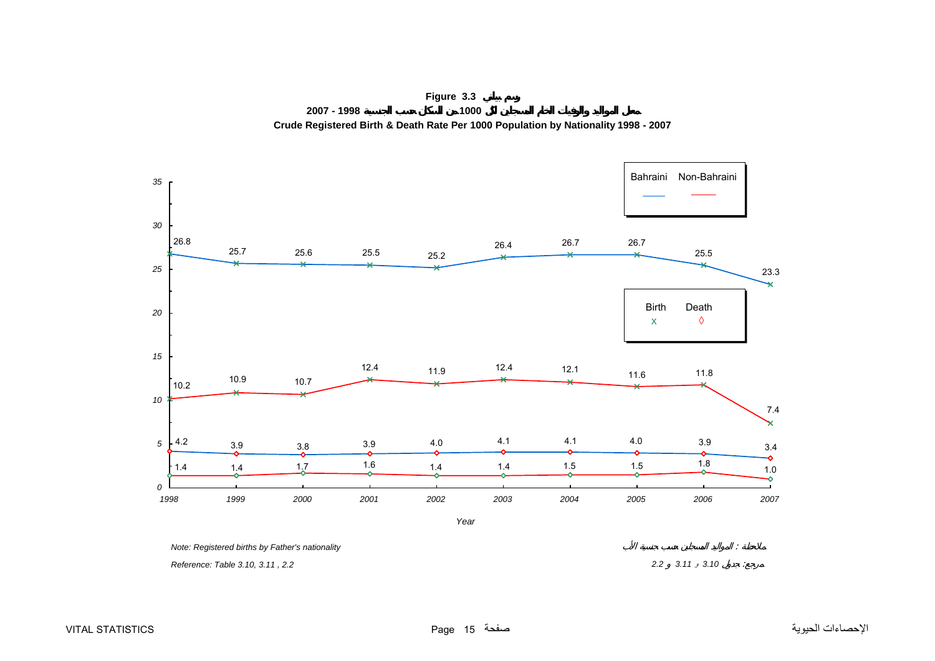<span id="page-15-0"></span>

**Figure 3.3 2007 - 1998 1000 Crude Registered Birth & Death Rate Per 1000 Population by Nationality 1998 - 2007**

 *Reference: Table 3.10, 3.11 , 2.2 2.2 3.11* <sup>و</sup> *3.10* :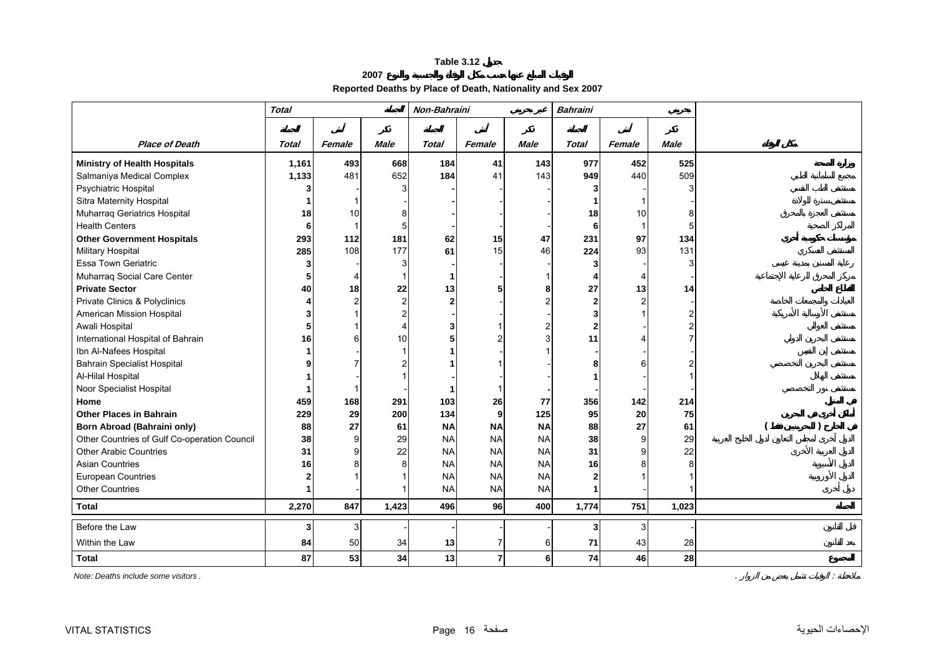**2007**

**Reported Deaths by Place of Death, Nationality and Sex 2007**

<span id="page-16-0"></span>

|                                              | <b>Total</b> |        | Non-Bahraini |                |                         | <b>Bahraini</b> |              |                |             |  |
|----------------------------------------------|--------------|--------|--------------|----------------|-------------------------|-----------------|--------------|----------------|-------------|--|
|                                              |              |        |              |                |                         |                 |              |                |             |  |
| <b>Place of Death</b>                        | <b>Total</b> | Female | <b>Male</b>  | <b>Total</b>   | Female                  | <b>Male</b>     | <b>Total</b> | Female         | <b>Male</b> |  |
| <b>Ministry of Health Hospitals</b>          | 1,161        | 493    | 668          | 184            | 41                      | 143             | 977          | 452            | 525         |  |
| Salmaniya Medical Complex                    | 1,133        | 481    | 652          | 184            | 41                      | 143             | 949          | 440            | 509         |  |
| Psychiatric Hospital                         |              |        |              |                |                         |                 |              |                |             |  |
| Sitra Maternity Hospital                     |              |        |              |                |                         |                 |              |                |             |  |
| Muharraq Geriatrics Hospital                 | 18           | 10     |              |                |                         |                 | 18           | 10             |             |  |
| <b>Health Centers</b>                        | 6            | 1      | 5            |                |                         |                 | 6            |                | 5           |  |
| <b>Other Government Hospitals</b>            | 293          | 112    | 181          | 62             | 15                      | 47              | 231          | 97             | 134         |  |
| Military Hospital                            | 285          | 108    | 177          | 61             | 15                      | 46              | 224          | 93             | 131         |  |
| <b>Essa Town Geriatric</b>                   | 3            |        |              |                |                         |                 |              |                |             |  |
| Muharraq Social Care Center                  | 5            |        |              |                |                         |                 |              |                |             |  |
| <b>Private Sector</b>                        | 40           | 18     | 22           | 13             | 5                       |                 | 27           | 13             | 14          |  |
| Private Clinics & Polyclinics                |              | 2      |              | $\overline{2}$ |                         |                 |              | $\overline{c}$ |             |  |
| American Mission Hospital                    |              |        |              |                |                         |                 |              |                |             |  |
| Awali Hospital                               |              |        |              | 3              |                         |                 |              |                |             |  |
| International Hospital of Bahrain            | 16           |        | 10           |                |                         |                 | 11           |                |             |  |
| Ibn Al-Nafees Hospital                       |              |        |              |                |                         |                 |              |                |             |  |
| <b>Bahrain Specialist Hospital</b>           |              |        |              |                |                         |                 |              |                |             |  |
| Al-Hilal Hospital                            |              |        |              |                |                         |                 |              |                |             |  |
| Noor Specialist Hospital                     |              |        |              |                |                         |                 |              |                |             |  |
| Home                                         | 459          | 168    | 291          | 103            | 26                      | 77              | 356          | 142            | 214         |  |
| <b>Other Places in Bahrain</b>               | 229          | 29     | 200          | 134            | 9                       | 125             | 95           | 20             | 75          |  |
| <b>Born Abroad (Bahraini only)</b>           | 88           | 27     | 61           | <b>NA</b>      | <b>NA</b>               | <b>NA</b>       | 88           | 27             | 61          |  |
| Other Countries of Gulf Co-operation Council | 38           | 9      | 29           | <b>NA</b>      | <b>NA</b>               | <b>NA</b>       | 38           | 9              | 29          |  |
| <b>Other Arabic Countries</b>                | 31           | q      | 22           | <b>NA</b>      | <b>NA</b>               | <b>NA</b>       | 31           | 9              | 22          |  |
| <b>Asian Countries</b>                       | 16           |        |              | <b>NA</b>      | <b>NA</b>               | <b>NA</b>       | 16           |                | 8           |  |
| European Countries                           |              |        |              | <b>NA</b>      | <b>NA</b>               | <b>NA</b>       |              |                |             |  |
| <b>Other Countries</b>                       |              |        |              | <b>NA</b>      | <b>NA</b>               | <b>NA</b>       |              |                |             |  |
| <b>Total</b>                                 | 2,270        | 847    | 1,423        | 496            | 96                      | 400             | 1,774        | 751            | 1,023       |  |
| Before the Law                               | 3            | 3      |              |                |                         |                 | 3            | 3              |             |  |
| Within the Law                               | 84           | 50     | 34           | 13             | $\overline{7}$          | 6               | 71           | 43             | 28          |  |
| <b>Total</b>                                 | 87           | 53     | 34           | 13             | $\overline{\mathbf{r}}$ | 6               | 74           | 46             | 28          |  |

*Note: Deaths include some visitors .*  $\therefore$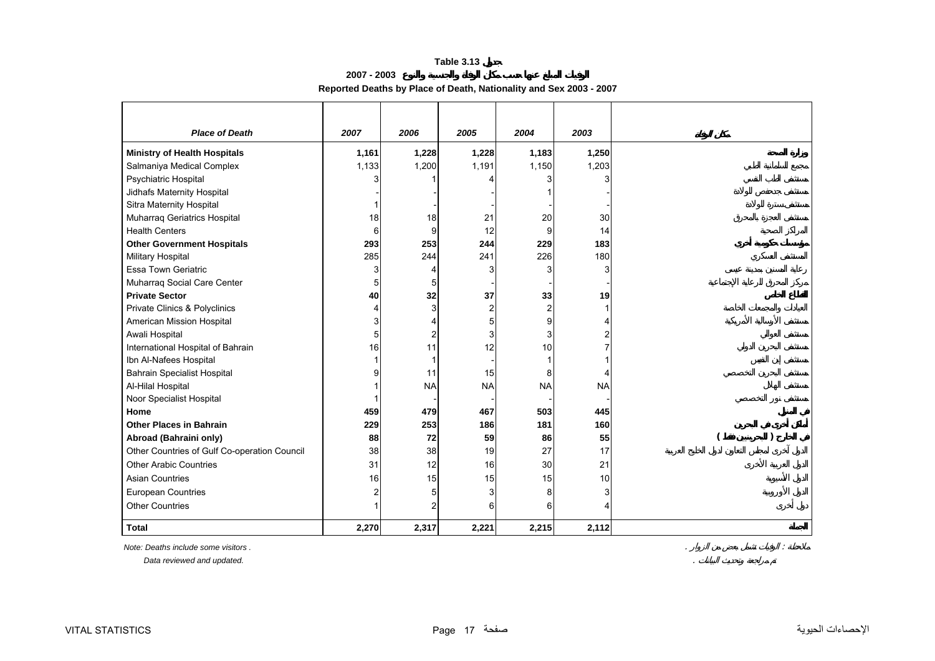**2007 - 2003**

# **Reported Deaths by Place of Death, Nationality and Sex 2003 - 2007**

<span id="page-17-0"></span>

| <b>Place of Death</b>                        | 2007  | 2006      | 2005           | 2004           | 2003      |  |
|----------------------------------------------|-------|-----------|----------------|----------------|-----------|--|
| <b>Ministry of Health Hospitals</b>          | 1,161 | 1,228     | 1,228          | 1,183          | 1,250     |  |
| Salmaniya Medical Complex                    | 1,133 | 1,200     | 1,191          | 1,150          | 1,203     |  |
| Psychiatric Hospital                         |       |           |                |                |           |  |
| Jidhafs Maternity Hospital                   |       |           |                |                |           |  |
| Sitra Maternity Hospital                     |       |           |                |                |           |  |
| Muharraq Geriatrics Hospital                 | 18    | 18        | 21             | 20             | 30        |  |
| <b>Health Centers</b>                        | 6     | 9         | 12             | 9              | 14        |  |
| <b>Other Government Hospitals</b>            | 293   | 253       | 244            | 229            | 183       |  |
| Military Hospital                            | 285   | 244       | 241            | 226            | 180       |  |
| <b>Essa Town Geriatric</b>                   | 3     |           | 3              |                |           |  |
| Muharraq Social Care Center                  |       |           |                |                |           |  |
| <b>Private Sector</b>                        | 40    | 32        | 37             | 33             | 19        |  |
| Private Clinics & Polyclinics                |       |           | $\overline{c}$ | $\overline{2}$ |           |  |
| American Mission Hospital                    | 3     |           | 5              | 9              |           |  |
| Awali Hospital                               | 5     |           | 3              | 3              |           |  |
| International Hospital of Bahrain            | 16    | 11        | 12             | 10             |           |  |
| Ibn Al-Nafees Hospital                       |       |           |                |                |           |  |
| <b>Bahrain Specialist Hospital</b>           |       | 11        | 15             | 8              | 4         |  |
| Al-Hilal Hospital                            |       | <b>NA</b> | <b>NA</b>      | <b>NA</b>      | <b>NA</b> |  |
| Noor Specialist Hospital                     |       |           |                |                |           |  |
| Home                                         | 459   | 479       | 467            | 503            | 445       |  |
| <b>Other Places in Bahrain</b>               | 229   | 253       | 186            | 181            | 160       |  |
| Abroad (Bahraini only)                       | 88    | 72        | 59             | 86             | 55        |  |
| Other Countries of Gulf Co-operation Council | 38    | 38        | 19             | 27             | 17        |  |
| <b>Other Arabic Countries</b>                | 31    | 12        | 16             | 30             | 21        |  |
| <b>Asian Countries</b>                       | 16    | 15        | 15             | 15             | 10        |  |
| European Countries                           | 2     |           | 3              | 8              |           |  |
| <b>Other Countries</b>                       |       |           | 6              | հ              |           |  |
| <b>Total</b>                                 | 2,270 | 2,317     | 2,221          | 2,215          | 2,112     |  |

*Note: Deaths include some visitors .* . :

 *Data reviewed and updated.* .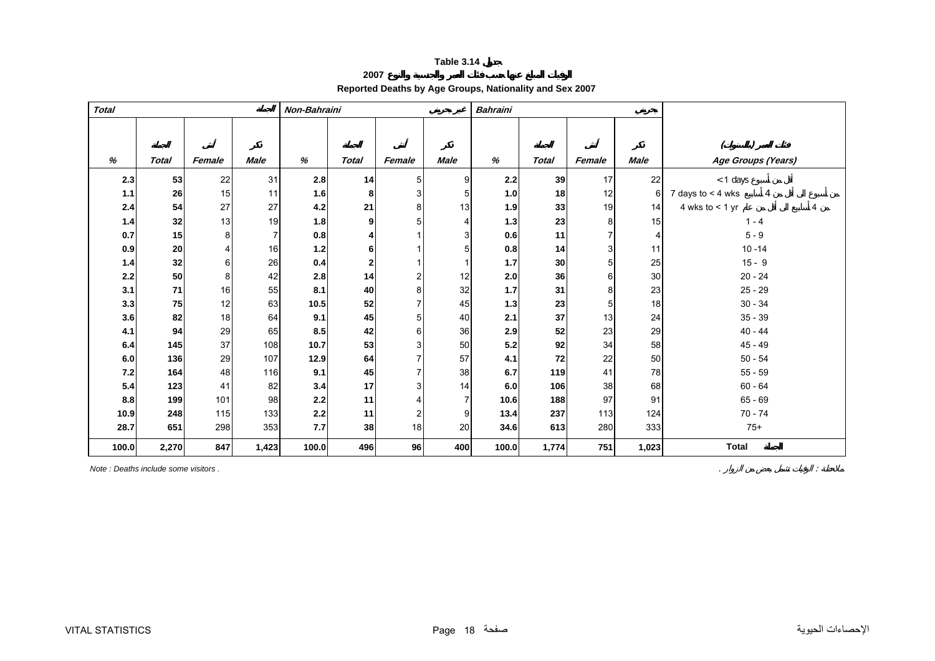#### **2007 Reported Deaths by Age Groups, Nationality and Sex 2007**

<span id="page-18-0"></span>

| <b>Total</b> |              |                |             | Non-Bahraini |                |                |                | <b>Bahraini</b> |              |        |             |                          |
|--------------|--------------|----------------|-------------|--------------|----------------|----------------|----------------|-----------------|--------------|--------|-------------|--------------------------|
|              |              |                |             |              |                |                |                |                 |              |        |             |                          |
|              |              |                |             |              |                |                |                |                 |              |        |             |                          |
| %            | <b>Total</b> | Female         | <b>Male</b> | %            | <b>Total</b>   | Female         | <b>Male</b>    | %               | <b>Total</b> | Female | <b>Male</b> | Age Groups (Years)       |
| 2.3          | 53           | 22             | 31          | 2.8          | 14             | 5 <sub>l</sub> | 9              | 2.2             | 39           | 17     | 22          | $<$ 1 days               |
| 1.1          | 26           | 15             | 11          | 1.6          | 8              | 3 <sup>1</sup> | 5              | 1.0             | 18           | 12     | 6           | 7 days to $<$ 4 wks<br>4 |
| 2.4          | 54           | 27             | 27          | 4.2          | 21             | 8              | 13             | 1.9             | 33           | 19     | 14          | 4 wks to $<$ 1 yr        |
| 1.4          | 32           | 13             | 19          | 1.8          | 9              | 5              | 4              | 1.3             | 23           | 8      | 15          | $1 - 4$                  |
| 0.7          | 15           | 8              |             | 0.8          | 4              |                | 3              | 0.6             | 11           |        |             | $5 - 9$                  |
| 0.9          | 20           | $\overline{4}$ | 16          | $1.2$        | 6              |                | 5              | 0.8             | 14           | 3      | 11          | $10 - 14$                |
| 1.4          | 32           | 6              | 26          | 0.4          | $\overline{2}$ |                |                | 1.7             | 30           | 5      | 25          | $15 - 9$                 |
| 2.2          | 50           | 8              | 42          | 2.8          | 14             | $\overline{2}$ | 12             | 2.0             | 36           | 6      | 30          | $20 - 24$                |
| 3.1          | 71           | 16             | 55          | 8.1          | 40             | 8              | 32             | 1.7             | 31           | 8      | 23          | $25 - 29$                |
| 3.3          | 75           | 12             | 63          | 10.5         | 52             | 7              | 45             | 1.3             | 23           | 5      | 18          | $30 - 34$                |
| 3.6          | 82           | 18             | 64          | 9.1          | 45             | 5 <sup>1</sup> | 40             | 2.1             | 37           | 13     | 24          | $35 - 39$                |
| 4.1          | 94           | 29             | 65          | 8.5          | 42             | 6              | 36             | 2.9             | 52           | 23     | 29          | $40 - 44$                |
| 6.4          | 145          | 37             | 108         | 10.7         | 53             | 3              | 50             | 5.2             | 92           | 34     | 58          | $45 - 49$                |
| 6.0          | 136          | 29             | 107         | 12.9         | 64             |                | 57             | 4.1             | 72           | 22     | 50          | $50 - 54$                |
| 7.2          | 164          | 48             | 116         | 9.1          | 45             | 7              | 38             | 6.7             | 119          | 41     | 78          | $55 - 59$                |
| 5.4          | 123          | 41             | 82          | 3.4          | 17             | $\overline{3}$ | 14             | 6.0             | 106          | 38     | 68          | $60 - 64$                |
| 8.8          | 199          | 101            | 98          | 2.2          | 11             |                | $\overline{7}$ | 10.6            | 188          | 97     | 91          | $65 - 69$                |
| 10.9         | 248          | 115            | 133         | 2.2          | 11             | $\overline{2}$ | 9              | 13.4            | 237          | 113    | 124         | $70 - 74$                |
| 28.7         | 651          | 298            | 353         | 7.7          | 38             | 18             | 20             | 34.6            | 613          | 280    | 333         | $75+$                    |
| 100.0        | 2,270        | 847            | 1,423       | 100.0        | 496            | 96             | 400            | 100.0           | 1,774        | 751    | 1,023       | <b>Total</b>             |

*Note : Deaths include some visitors .* . :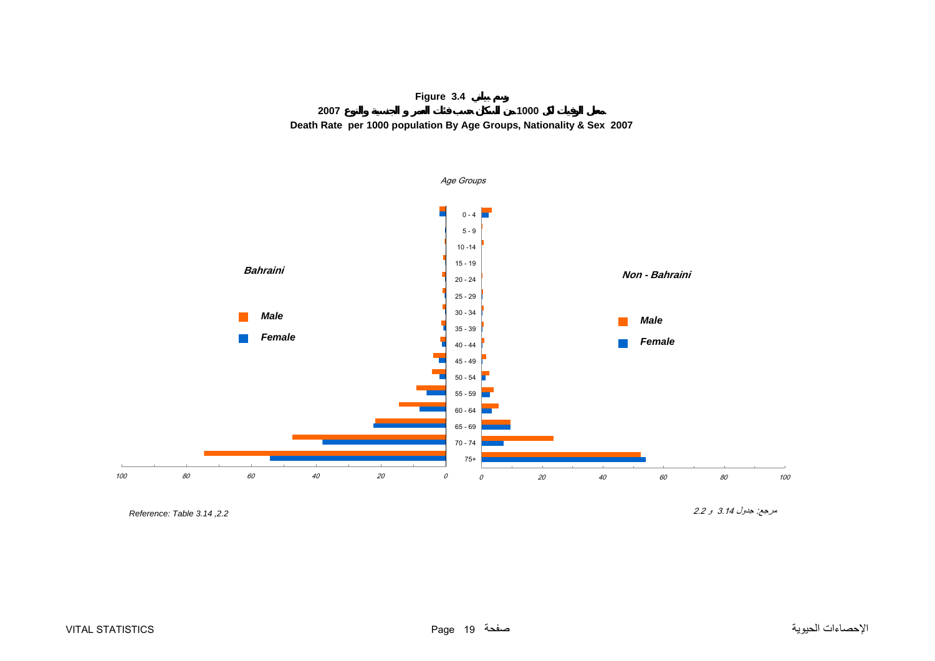

<span id="page-19-0"></span>

*,2.2 3.14 Table :Reference* 

مرجع: جدول 3.14 <sup>و</sup> 2.2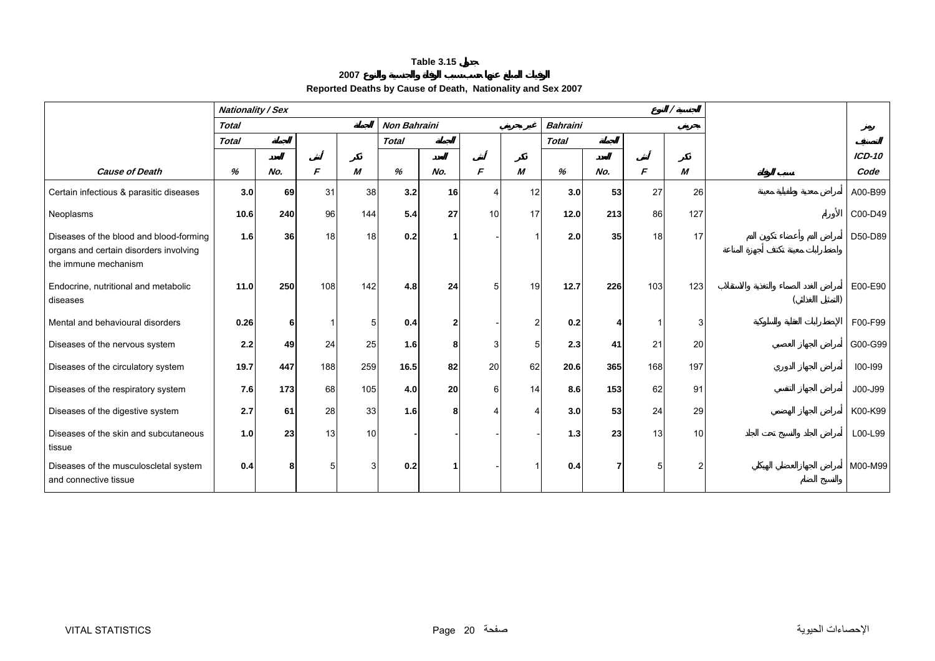#### **2007**

# **Reported Deaths by Cause of Death, Nationality and Sex 2007**

<span id="page-20-0"></span>

|                                                                                                           | <b>Nationality / Sex</b> |     |               |     |                     |     |    |                |                 |     |     |     |          |
|-----------------------------------------------------------------------------------------------------------|--------------------------|-----|---------------|-----|---------------------|-----|----|----------------|-----------------|-----|-----|-----|----------|
|                                                                                                           | <b>Total</b>             |     |               |     | <b>Non Bahraini</b> |     |    |                | <b>Bahraini</b> |     |     |     |          |
|                                                                                                           | <b>Total</b>             |     |               |     | <b>Total</b>        |     |    |                | <b>Total</b>    |     |     |     |          |
|                                                                                                           |                          |     |               |     |                     |     |    |                |                 |     |     |     | $ICD-10$ |
| <b>Cause of Death</b>                                                                                     | %                        | No. | $\mathcal{F}$ | M   | %                   | No. | F  | М              | %               | No. | F   | M   | Code     |
| Certain infectious & parasitic diseases                                                                   | 3.0                      | 69  | 31            | 38  | 3.2                 | 16  | 4  | 12             | 3.0             | 53  | 27  | 26  | A00-B99  |
| Neoplasms                                                                                                 | 10.6                     | 240 | 96            | 144 | 5.4                 | 27  | 10 | 17             | 12.0            | 213 | 86  | 127 | C00-D49  |
| Diseases of the blood and blood-forming<br>organs and certain disorders involving<br>the immune mechanism | 1.6                      | 36  | 18            | 18  | 0.2                 |     |    |                | 2.0             | 35  | 18  | 17  | D50-D89  |
| Endocrine, nutritional and metabolic<br>diseases                                                          | 11.0                     | 250 | 108           | 142 | 4.8                 | 24  | 5  | 19             | 12.7            | 226 | 103 | 123 | E00-E90  |
| Mental and behavioural disorders                                                                          | 0.26                     | 6   |               | 5   | 0.4                 | 2   |    | $\mathfrak{p}$ | 0.2             |     |     | 3   | F00-F99  |
| Diseases of the nervous system                                                                            | 2.2                      | 49  | 24            | 25  | 1.6                 | 8   | 3  |                | 2.3             | 41  | 21  | 20  | G00-G99  |
| Diseases of the circulatory system                                                                        | 19.7                     | 447 | 188           | 259 | 16.5                | 82  | 20 | 62             | 20.6            | 365 | 168 | 197 | 100-199  |
| Diseases of the respiratory system                                                                        | 7.6                      | 173 | 68            | 105 | 4.0                 | 20  | 6  | 14             | 8.6             | 153 | 62  | 91  | J00-J99  |
| Diseases of the digestive system                                                                          | 2.7                      | 61  | 28            | 33  | 1.6                 | 8   |    |                | 3.0             | 53  | 24  | 29  | K00-K99  |
| Diseases of the skin and subcutaneous<br>tissue                                                           | 1.0                      | 23  | 13            | 10  |                     |     |    |                | $1.3$           | 23  | 13  | 10  | L00-L99  |
| Diseases of the musculoscletal system<br>and connective tissue                                            | 0.4                      | 8   |               | З   | 0.2                 |     |    |                | 0.4             |     | 5   | 2   | M00-M99  |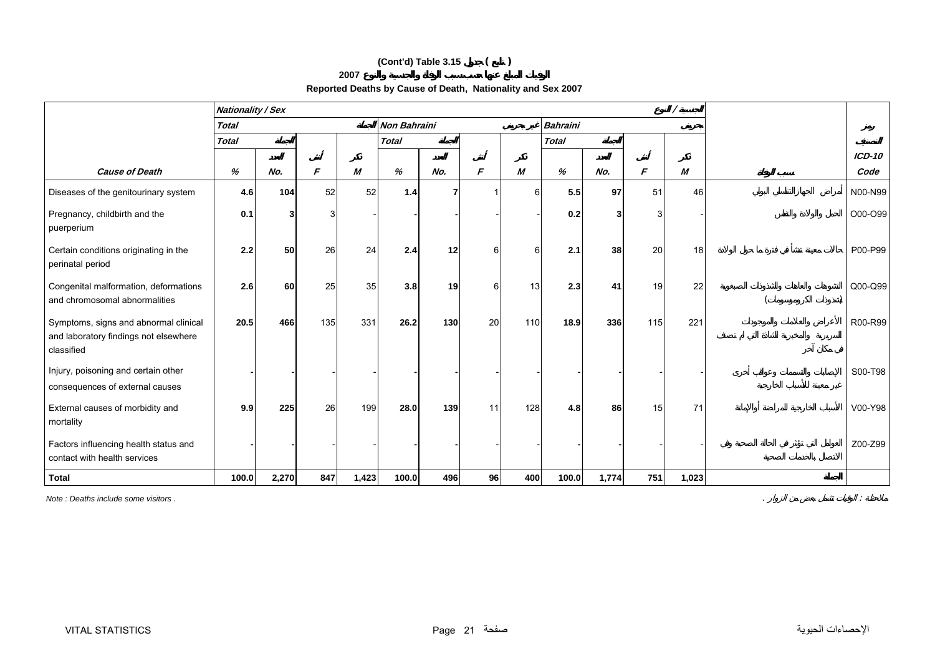# **(Cont'd) Table 3.15 ( )**

#### **2007**

# **Reported Deaths by Cause of Death, Nationality and Sex 2007**

|                                                                                              | <b>Nationality / Sex</b> |       |     |       |                     |     |          |          |                 |       |     |       |         |
|----------------------------------------------------------------------------------------------|--------------------------|-------|-----|-------|---------------------|-----|----------|----------|-----------------|-------|-----|-------|---------|
|                                                                                              | <b>Total</b>             |       |     |       | <b>Non Bahraini</b> |     |          |          | <b>Bahraini</b> |       |     |       |         |
|                                                                                              | <b>Total</b>             |       |     |       | <b>Total</b>        |     |          |          | <b>Total</b>    |       |     |       |         |
|                                                                                              |                          |       |     |       |                     |     |          |          |                 |       |     |       | ICD-10  |
| <b>Cause of Death</b>                                                                        | %                        | No.   | F   | M     | %                   | No. | F        | М        | $\%$            | No.   | F   | M     | Code    |
| Diseases of the genitourinary system                                                         | 4.6                      | 104   | 52  | 52    | 1.4                 |     |          | $6 \mid$ | 5.5             | 97    | 51  | 46    | N00-N99 |
| Pregnancy, childbirth and the<br>puerperium                                                  | 0.1                      |       | 3   |       |                     |     |          |          | 0.2             |       |     |       | O00-O99 |
| Certain conditions originating in the<br>perinatal period                                    | 2.2                      | 50    | 26  | 24    | 2.4                 | 12  | 6        | 6        | 2.1             | 38    | 20  | 18    | P00-P99 |
| Congenital malformation, deformations<br>and chromosomal abnormalities                       | 2.6                      | 60    | 25  | 35    | 3.8                 | 19  | $6 \mid$ | 13       | 2.3             | 41    | 19  | 22    | Q00-Q99 |
| Symptoms, signs and abnormal clinical<br>and laboratory findings not elsewhere<br>classified | 20.5                     | 466   | 135 | 331   | 26.2                | 130 | 20       | 110      | 18.9            | 336   | 115 | 221   | R00-R99 |
| Injury, poisoning and certain other<br>consequences of external causes                       |                          |       |     |       |                     |     |          |          |                 |       |     |       | S00-T98 |
| External causes of morbidity and<br>mortality                                                | 9.9                      | 225   | 26  | 199   | 28.0                | 139 | 11       | 128      | 4.8             | 86    | 15  | 71    | V00-Y98 |
| Factors influencing health status and<br>contact with health services                        |                          |       |     |       |                     |     |          |          |                 |       |     |       | Z00-Z99 |
| <b>Total</b>                                                                                 | 100.0                    | 2,270 | 847 | 1,423 | 100.0               | 496 | 96       | 400      | 100.0           | 1,774 | 751 | 1,023 |         |

*Note : Deaths include some visitors .* . :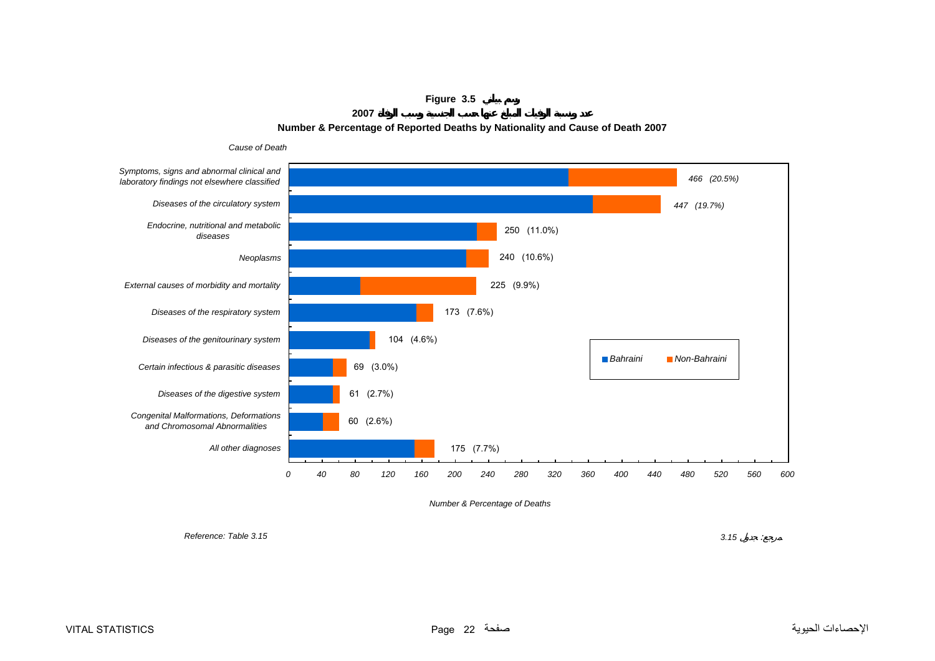**Figure 3.5**

**2007**

### **Number & Percentage of Reported Deaths by Nationality and Cause of Death 2007**

<span id="page-22-0"></span>

*Number & Percentage of Deaths*

*Reference: Table 3.15*

 *3.15* : $\sim$   $2$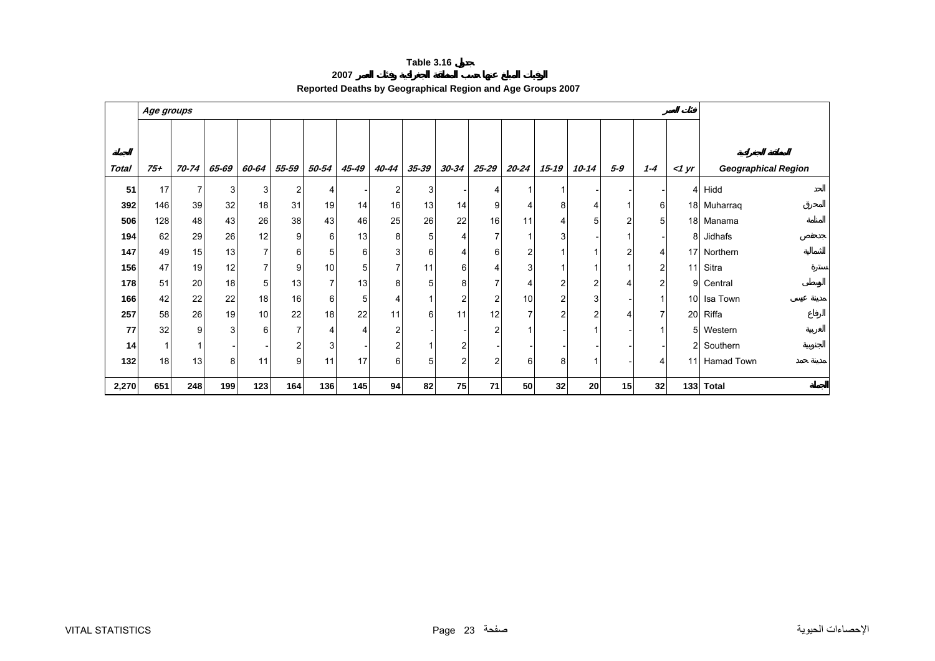#### **2007 Reported Deaths by Geographical Region and Age Groups 2007**

<span id="page-23-0"></span>

|              | Age groups |       |       |                 |                |                |                       |                |           |           |                |                |                |                |                 |                |          |                            |
|--------------|------------|-------|-------|-----------------|----------------|----------------|-----------------------|----------------|-----------|-----------|----------------|----------------|----------------|----------------|-----------------|----------------|----------|----------------------------|
|              |            |       |       |                 |                |                |                       |                |           |           |                |                |                |                |                 |                |          |                            |
|              |            |       |       |                 |                |                |                       |                |           |           |                |                |                |                |                 |                |          |                            |
| <b>Total</b> | $75 +$     | 70-74 | 65-69 | 60-64           | 55-59          | 50-54          | 45-49                 | 40-44          | $35 - 39$ | $30 - 34$ | 25-29          | $20 - 24$      | 15-19          | 10-14          | 5-9             | $1 - 4$        | $<$ 1 yr | <b>Geographical Region</b> |
| 51           | 17         | 7     | 3     | 3               | $\mathbf{2}$   | 4              |                       | 2              | 3         |           | 4              | $\mathbf 1$    |                |                |                 |                |          | 4 Hidd                     |
| 392          | 146        | 39    | 32    | 18 <sup>1</sup> | 31             | 19             | 14                    | 16             | 13        | 14        | 9              | 4              | 8              |                | 1               | 6              |          | 18 Muharraq                |
| 506          | 128        | 48    | 43    | 26              | 38             | 43             | 46                    | 25             | 26        | 22        | 16             | 11             | 4              | 5              | 2               | 5              |          | 18 Manama                  |
| 194          | 62         | 29    | 26    | 12              | 9              | $6 \mid$       | 13                    | 8              | 5         | 4         | 7              | 1              | 3              |                |                 |                | 8        | Jidhafs                    |
| 147          | 49         | 15    | 13    | $\overline{7}$  | 6              | 5 <sup>1</sup> | 6                     | 3 <sup>1</sup> | 6         | 4         | 6              | 2              |                |                | 2               | 4              |          | 17 Northern                |
| 156          | 47         | 19    | 12    | $\overline{7}$  | 9              | 10             | 5                     | $\overline{7}$ | 11        | 6         | 4              | 3              |                |                |                 | $\overline{c}$ | 11       | Sitra                      |
| 178          | 51         | 20    | 18    | 5 <sub>1</sub>  | 13             | $\overline{7}$ | 13                    | 8              | 5         | 8         | 7              | 4              | 2              | 2              | 4               | $\overline{c}$ | 9        | Central                    |
| 166          | 42         | 22    | 22    | 18              | 16             | $6 \mid$       | 5                     | 4              |           | ົ         | $\overline{2}$ | 10             | 2              | 3              |                 | $\mathbf{1}$   |          | 10 Isa Town                |
| 257          | 58         | 26    | 19    | 10 <sup>1</sup> | 22             | 18             | 22                    | 11             | 6         | 11        | 12             | $\overline{7}$ | $\overline{2}$ | $\overline{2}$ | 4               | $\overline{7}$ |          | 20 Riffa                   |
| 77           | 32         | 9     | 3     | $6 \,$          | $\overline{7}$ | $\overline{4}$ | $\boldsymbol{\Delta}$ | 2              |           |           | $\overline{c}$ | 1              |                |                |                 | 1              | 5        | Western                    |
| 14           |            |       |       |                 | $\overline{a}$ | 3              |                       | 2              |           |           |                |                |                |                |                 |                |          | 2 Southern                 |
| 132          | 18         | 13    | 8     | 11              | 9 <sub>l</sub> | 11             | 17                    | 6              | 5         | ົ         | $\overline{2}$ | 6              | 8              |                |                 | 4              |          | 11 Hamad Town              |
| 2,270        | 651        | 248   | 199   | 123             | 164            | 136            | 145                   | 94             | 82        | 75        | 71             | 50             | 32             | 20             | 15 <sub>l</sub> | 32             | 133      | <b>Total</b>               |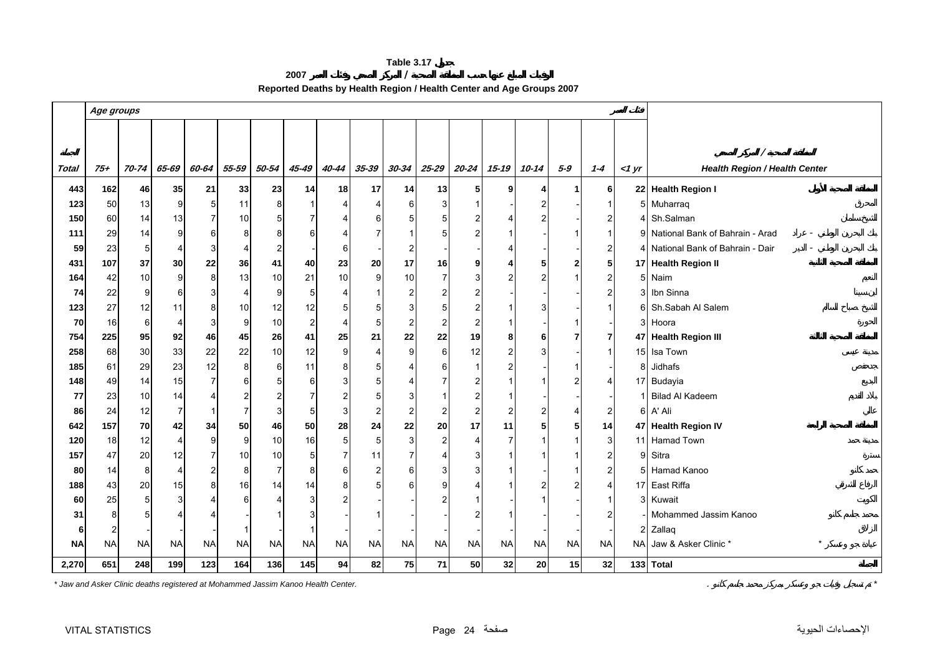**2007 / Reported Deaths by Health Region / Health Center and Age Groups 2007** 

<span id="page-24-0"></span>

|              | Age groups |           |                |                |                |                |                         |                  |                |                |                |                |                |                |                      |                |       |                                      |  |  |  |  |  |  |  |
|--------------|------------|-----------|----------------|----------------|----------------|----------------|-------------------------|------------------|----------------|----------------|----------------|----------------|----------------|----------------|----------------------|----------------|-------|--------------------------------------|--|--|--|--|--|--|--|
|              |            |           |                |                |                |                |                         |                  |                |                |                |                |                |                |                      |                |       |                                      |  |  |  |  |  |  |  |
|              |            |           |                |                |                |                |                         |                  |                |                |                |                |                |                |                      |                |       |                                      |  |  |  |  |  |  |  |
|              |            |           |                |                |                |                |                         |                  |                |                |                |                |                |                |                      |                |       |                                      |  |  |  |  |  |  |  |
| <b>Total</b> | $75+$      | 70-74     | 65-69          | 60-64          | 55-59          | 50-54          | $45 - 49$               | 40-44            | $35 - 39$      | $30 - 34$      | $25 - 29$      | $20 - 24$      | $15 - 19$      | $10 - 14$      | $5 - 9$              | $1 - 4$        | <1 yr | <b>Health Region / Health Center</b> |  |  |  |  |  |  |  |
| 443          | 162        | 46        | 35             | 21             | 33             | 23             | 14                      | 18               | 17             | 14             | 13             | 5 <sup>1</sup> | 9              | 4              | $\blacktriangleleft$ | 6              |       | 22 Health Region I                   |  |  |  |  |  |  |  |
| 123          | 50         | 13        | 9              | 5 <sub>l</sub> | 11             | 8              | $\mathbf 1$             |                  |                | $6 \mid$       |                |                |                | 2              |                      | -1             |       | 5 Muharraq                           |  |  |  |  |  |  |  |
| 150          | 60         | 14        | 13             | $\overline{7}$ | 10             | 5              | $\overline{7}$          |                  | 6              |                |                |                |                |                |                      | $\overline{2}$ |       | 4 Sh.Salman                          |  |  |  |  |  |  |  |
| 111          | 29         | 14        | 9              | $6 \mid$       | 8              | 8              | 6                       | 4                |                |                |                |                |                |                |                      |                |       | 9 National Bank of Bahrain - Arad    |  |  |  |  |  |  |  |
| 59           | 23         | 5         | 4              | 3              | 4              | $\overline{c}$ |                         | 6                |                | 2              |                |                |                |                |                      | $\overline{c}$ |       | 4 National Bank of Bahrain - Dair    |  |  |  |  |  |  |  |
| 431          | 107        | 37        | 30             | 22             | 36             | 41             | 40                      | 23               | 20             | 17             | 16             | 9              |                | 5              | 2                    | 5              |       | 17 Health Region II                  |  |  |  |  |  |  |  |
| 164          | 42         | 10        | 9              | 8              | 13             | 10             | 21                      | 10               | 9              | 10             |                |                |                | 2              |                      | $\overline{c}$ |       | 5 Naim                               |  |  |  |  |  |  |  |
| 74           | 22         | 9         | 6              | $3 \,$         | $\overline{4}$ | 9              | 5                       | 4                |                | 2              |                |                |                |                |                      | $\overline{c}$ |       | 3 Ibn Sinna                          |  |  |  |  |  |  |  |
| 123          | 27         | 12        | 11             | 8 <sup>1</sup> | 10             | 12             | 12                      | 5                | 5              | 3              |                |                |                | 3              |                      |                |       | 6 Sh.Sabah Al Salem                  |  |  |  |  |  |  |  |
| 70           | 16         | 6         | 4              | 3              | 9              | 10             | $\overline{\mathbf{c}}$ | 4                | 5              | 2              |                |                |                |                |                      |                |       | 3 Hoora                              |  |  |  |  |  |  |  |
| 754          | 225        | 95        | 92             | 46             | 45             | 26             | 41                      | 25               | 21             | 22             | 22             | 19             |                | 6              |                      | $\overline{7}$ |       | 47 Health Region III                 |  |  |  |  |  |  |  |
| 258          | 68         | $30\,$    | 33             | 22             | 22             | 10             | 12                      | $\boldsymbol{9}$ | 4              | 9 <sub>l</sub> | 6              | 12             | 2              | 3              |                      | $\mathbf 1$    |       | 15 Isa Town                          |  |  |  |  |  |  |  |
| 185          | 61         | 29        | 23             | 12             | 8              | $\,6\,$        | 11                      | 8                | 5              |                |                | -1             |                |                |                      |                | 8     | Jidhafs                              |  |  |  |  |  |  |  |
| 148          | 49         | 14        | 15             | $\overline{7}$ | $6 \mid$       | 5              | 6                       | 3                | 5              |                |                |                |                |                |                      | 4              |       | 17 Budayia                           |  |  |  |  |  |  |  |
| 77           | 23         | 10        | 14             | $\overline{4}$ | $\mathbf{2}$   | $\overline{2}$ | $\overline{7}$          | 2                | 5              | 3              |                |                |                |                |                      |                |       | 1 Bilad Al Kadeem                    |  |  |  |  |  |  |  |
| 86           | 24         | 12        | $\overline{7}$ | $\overline{1}$ | $\overline{7}$ | 3              | 5                       | 3                | $\overline{2}$ | $\overline{2}$ |                | 2              | $\overline{2}$ | $\overline{c}$ | 4                    | $\overline{c}$ |       | 6 A' Ali                             |  |  |  |  |  |  |  |
| 642          | 157        | 70        | 42             | 34             | 50             | 46             | 50                      | 28               | 24             | 22             | 20             | 17             | 11             | 5              | 5                    | 14             |       | 47 Health Region IV                  |  |  |  |  |  |  |  |
| 120          | 18         | 12        | 4              | 9              | 9              | 10             | 16                      | $\overline{5}$   | 5              | 3 <sup>1</sup> | $\overline{2}$ | 4              | 7              |                |                      | 3              |       | 11 Hamad Town                        |  |  |  |  |  |  |  |
| 157          | 47         | 20        | 12             | $\overline{7}$ | 10             | 10             | 5                       | $\overline{7}$   | 11             |                |                |                |                |                |                      | $\overline{c}$ |       | 9 Sitra                              |  |  |  |  |  |  |  |
| 80           | 14         | 8         | 4              | $\overline{2}$ | 8              | 7              | 8                       | 6                | $\overline{2}$ | 6              |                |                |                |                |                      | $\overline{2}$ |       | 5 Hamad Kanoo                        |  |  |  |  |  |  |  |
| 188          | 43         | 20        | 15             | 8              | 16             | 14             | 14                      | 8                | 5              |                |                |                |                |                |                      | 4              |       | 17 East Riffa                        |  |  |  |  |  |  |  |
| 60           | 25         | 5         | 3              | $\overline{4}$ | 6              |                | 3                       |                  |                |                |                |                |                |                |                      | $\mathbf{1}$   |       | 3 Kuwait                             |  |  |  |  |  |  |  |
| 31           | 8          | 5         |                | 4              |                |                | 3                       |                  |                |                |                |                |                |                |                      | $\overline{c}$ |       | Mohammed Jassim Kanoo                |  |  |  |  |  |  |  |
| 6            | 2          |           |                |                |                |                | $\mathbf 1$             |                  |                |                |                |                |                |                |                      |                |       | 2 Zallaq                             |  |  |  |  |  |  |  |
| <b>NA</b>    | <b>NA</b>  | <b>NA</b> | <b>NA</b>      | <b>NA</b>      | <b>NA</b>      | <b>NA</b>      | <b>NA</b>               | <b>NA</b>        | <b>NA</b>      | <b>NA</b>      | <b>NA</b>      | <b>NA</b>      | <b>NA</b>      | <b>NA</b>      | <b>NA</b>            | <b>NA</b>      |       | $\star$<br>NA Jaw & Asker Clinic *   |  |  |  |  |  |  |  |
| 2,270        | 651        | 248       | 199            | 123            | 164            | 136            | 145                     | 94               | 82             | 75             | 71             | 50             | 32             | 20             | 15                   | 32             |       | 133 Total                            |  |  |  |  |  |  |  |

*\* Jaw and Asker Clinic deaths registered at Mohammed Jassim Kanoo Health Center.* . *\**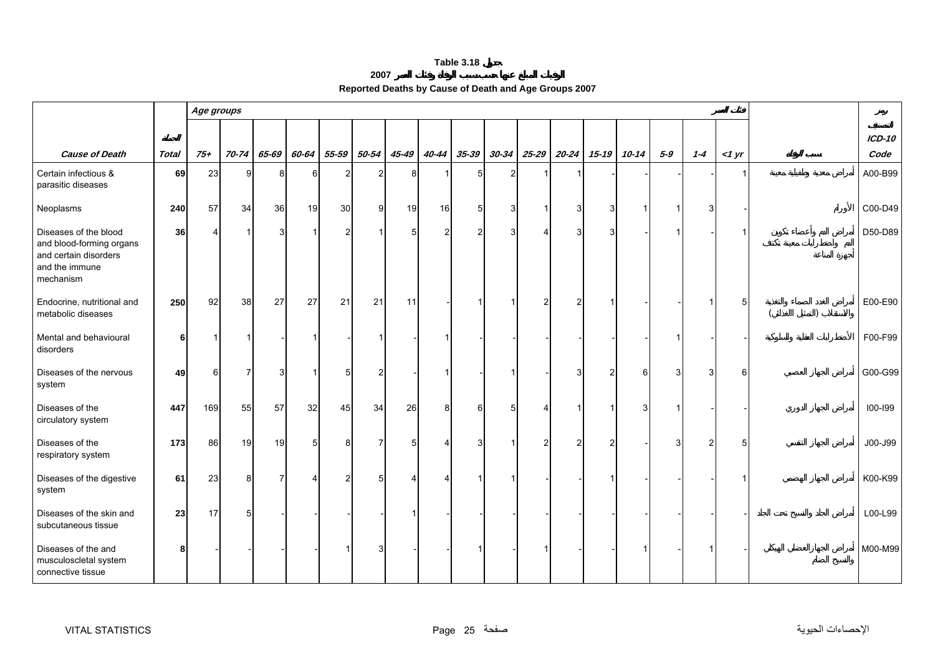<span id="page-25-0"></span>

|                                                                                                           |              | Age groups |                |                |                |                |                |       |                       |                |           |                       |           |           |           |       |         |       |               |
|-----------------------------------------------------------------------------------------------------------|--------------|------------|----------------|----------------|----------------|----------------|----------------|-------|-----------------------|----------------|-----------|-----------------------|-----------|-----------|-----------|-------|---------|-------|---------------|
|                                                                                                           |              |            |                |                |                |                |                |       |                       |                |           |                       |           |           |           |       |         |       | <b>ICD-10</b> |
| <b>Cause of Death</b>                                                                                     | <b>Total</b> | $75 +$     | 70-74          | 65-69          | 60-64          | 55-59          | 50-54          | 45-49 | 40-44                 | $35 - 39$      | $30 - 34$ | $25 - 29$             | $20 - 24$ | $15 - 19$ | $10 - 14$ | $5-9$ | $1 - 4$ | <1 yr | Code          |
| Certain infectious &<br>parasitic diseases                                                                | 69           | 23         | 9              | 8              | 61             | $\overline{2}$ | $\overline{2}$ | 8     |                       | 5 <sub>l</sub> | 2         |                       |           |           |           |       |         |       | A00-B99       |
| Neoplasms                                                                                                 | 240          | 57         | 34             | 36             | 19             | 30             | 9              | 19    | 16                    | 5 <sub>1</sub> |           | -1                    | 3         |           |           |       |         |       | C00-D49       |
| Diseases of the blood<br>and blood-forming organs<br>and certain disorders<br>and the immune<br>mechanism | 36           | 4          | $\overline{1}$ | 3              |                | $\overline{2}$ | -1             | 5     | $\overline{2}$        | $\overline{c}$ |           | $\boldsymbol{\Delta}$ | 3         | 3         |           |       |         |       | D50-D89       |
| Endocrine, nutritional and<br>metabolic diseases                                                          | 250          | 92         | 38             | 27             | 27             | 21             | 21             | 11    |                       |                |           | $\overline{2}$        |           |           |           |       |         | 5     | E00-E90       |
| Mental and behavioural<br>disorders                                                                       | 6            |            | $\mathbf 1$    |                |                |                |                |       | $\mathbf{1}$          |                |           |                       |           |           |           |       |         |       | F00-F99       |
| Diseases of the nervous<br>system                                                                         | 49           | 6          | $\overline{7}$ | 3              |                | 5              | $\overline{2}$ |       | -1                    |                |           |                       | 3         | 2         | 6         | 3     |         | 6     | G00-G99       |
| Diseases of the<br>circulatory system                                                                     | 447          | 169        | 55             | 57             | 32             | 45             | 34             | 26    | 8                     | 6              |           |                       |           |           | 3         |       |         |       | 100-199       |
| Diseases of the<br>respiratory system                                                                     | 173          | 86         | 19             | 19             | 5 <sup>1</sup> | 8              | 7              |       | 4                     | 3              |           | 2                     | 2         |           |           | 3     |         | 5     | J00-J99       |
| Diseases of the digestive<br>system                                                                       | 61           | 23         | 8              | $\overline{7}$ |                | $\overline{2}$ | 5              |       | $\boldsymbol{\Delta}$ |                |           |                       |           |           |           |       |         |       | K00-K99       |
| Diseases of the skin and<br>subcutaneous tissue                                                           | 23           | 17         | 5              |                |                |                |                |       |                       |                |           |                       |           |           |           |       |         |       | L00-L99       |
| Diseases of the and<br>musculoscletal system<br>connective tissue                                         | 8            |            |                |                |                |                |                |       |                       |                |           |                       |           |           |           |       |         |       | M00-M99       |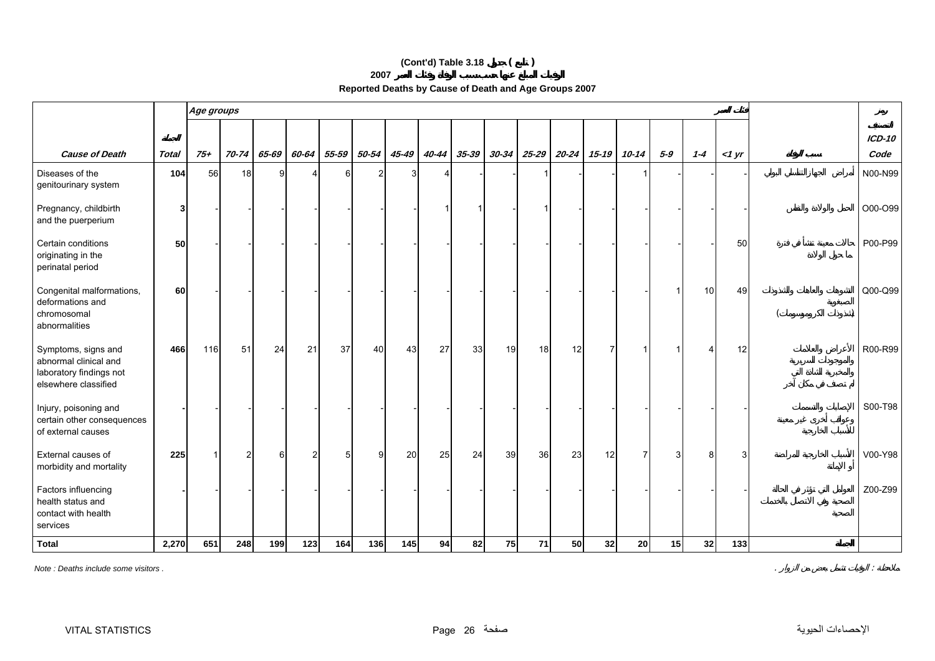# **(Cont'd) Table 3.18 ( )**

**2007**

|                                                                                                 |              |       | Age groups |       |       |       |       |       |       |           |           |           |           |           |                |       |         |       |          |
|-------------------------------------------------------------------------------------------------|--------------|-------|------------|-------|-------|-------|-------|-------|-------|-----------|-----------|-----------|-----------|-----------|----------------|-------|---------|-------|----------|
|                                                                                                 |              |       |            |       |       |       |       |       |       |           |           |           |           |           |                |       |         |       | $ICD-10$ |
| <b>Cause of Death</b>                                                                           | <b>Total</b> | $75+$ | $70 - 74$  | 65-69 | 60-64 | 55-59 | 50-54 | 45-49 | 40-44 | $35 - 39$ | $30 - 34$ | $25 - 29$ | $20 - 24$ | $15 - 19$ | $10 - 14$      | $5-9$ | $1 - 4$ | <1 yr | Code     |
| Diseases of the<br>genitourinary system                                                         | 104          | 56    | 18         | 9     | Δ     | 6     | 2     | 3     | 4     |           |           | -1        |           |           | -1             |       |         |       | N00-N99  |
| Pregnancy, childbirth<br>and the puerperium                                                     | 3            |       |            |       |       |       |       |       |       |           |           |           |           |           |                |       |         |       | O00-O99  |
| Certain conditions<br>originating in the<br>perinatal period                                    | 50           |       |            |       |       |       |       |       |       |           |           |           |           |           |                |       |         | 50    | P00-P99  |
| Congenital malformations,<br>deformations and<br>chromosomal<br>abnormalities                   | 60           |       |            |       |       |       |       |       |       |           |           |           |           |           |                |       | 10      | 49    | Q00-Q99  |
| Symptoms, signs and<br>abnormal clinical and<br>laboratory findings not<br>elsewhere classified | 466          | 116   | 51         | 24    | 21    | 37    | 40    | 43    | 27    | 33        | 19        | 18        | 12        | 7         |                |       |         | 12    | R00-R99  |
| Injury, poisoning and<br>certain other consequences<br>of external causes                       |              |       |            |       |       |       |       |       |       |           |           |           |           |           |                |       |         |       | S00-T98  |
| External causes of<br>morbidity and mortality                                                   | 225          |       | 2          | 6     | 2     | 5     | g     | 20    | 25    | 24        | 39        | 36        | 23        | 12        | $\overline{7}$ | 3     | 8       | 3     | V00-Y98  |
| Factors influencing<br>health status and<br>contact with health<br>services                     |              |       |            |       |       |       |       |       |       |           |           |           |           |           |                |       |         |       | Z00-Z99  |
| <b>Total</b>                                                                                    | 2,270        | 651   | 248        | 199   | 123   | 164   | 136   | 145   | 94    | 82        | 75        | $71$      | 50        | 32        | 20             | 15    | 32      | 133   |          |

*Note : Deaths include some visitors .* . :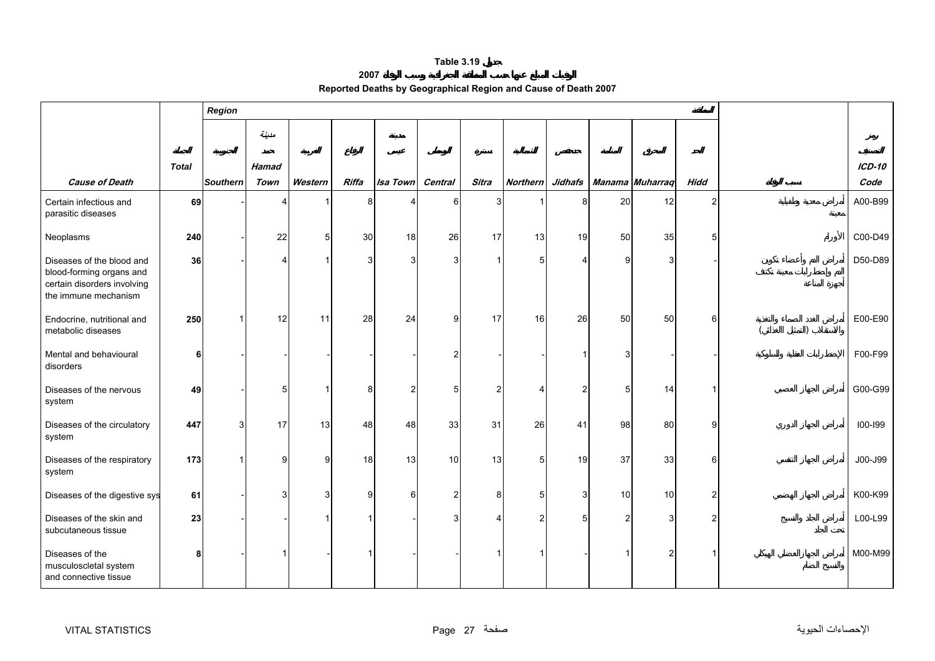#### **2007**

|  | Reported Deaths by Geographical Region and Cause of Death 2007 |  |  |  |
|--|----------------------------------------------------------------|--|--|--|
|--|----------------------------------------------------------------|--|--|--|

<span id="page-27-0"></span>

|                                                                                                              |       | <b>Region</b>   |              |              |       |                 |         |                |                 |                |    |                 |                |           |
|--------------------------------------------------------------------------------------------------------------|-------|-----------------|--------------|--------------|-------|-----------------|---------|----------------|-----------------|----------------|----|-----------------|----------------|-----------|
|                                                                                                              |       |                 | مدينة        |              |       |                 |         |                |                 |                |    |                 |                |           |
|                                                                                                              | Total |                 | <b>Hamad</b> |              |       |                 |         |                |                 |                |    |                 |                | $ICD-10$  |
| <b>Cause of Death</b>                                                                                        |       | <b>Southern</b> | Town         | Western      | Riffa | <b>Isa Town</b> | Central | <b>Sitra</b>   | <b>Northern</b> | Jidhafs        |    | Manama Muharraq | <b>Hidd</b>    | Code      |
| Certain infectious and<br>parasitic diseases                                                                 | 69    |                 |              |              |       |                 | 6       | Я              |                 |                | 20 | 12              | $\overline{2}$ | A00-B99   |
| Neoplasms                                                                                                    | 240   |                 | 22           | 5            | 30    | 18              | 26      | 17             | 13              | 19             | 50 | 35              | 5              | $COO-D49$ |
| Diseases of the blood and<br>blood-forming organs and<br>certain disorders involving<br>the immune mechanism | 36    |                 | Δ            |              | 3     | 3               | 3       |                | 5               |                | q  | 3               |                | D50-D89   |
| Endocrine, nutritional and<br>metabolic diseases                                                             | 250   |                 | 12           | 11           | 28    | 24              | 9       | 17             | 16              | 26             | 50 | 50              | 6              | E00-E90   |
| Mental and behavioural<br>disorders                                                                          | 6     |                 |              |              |       |                 |         |                |                 |                |    |                 |                | F00-F99   |
| Diseases of the nervous<br>system                                                                            | 49    |                 | 5            |              | 8     | $\overline{2}$  | 5       | $\overline{2}$ |                 | $\mathfrak{p}$ | 5  | 14              |                | G00-G99   |
| Diseases of the circulatory<br>system                                                                        | 447   | 3               | 17           | 13           | 48    | 48              | 33      | 31             | 26              | 41             | 98 | 80              | $\mathbf{Q}$   | 100-199   |
| Diseases of the respiratory<br>system                                                                        | 173   |                 | 9            | $\mathbf{Q}$ | 18    | 13              | 10      | 13             | 5 <sup>1</sup>  | 19             | 37 | 33              | 6              | J00-J99   |
| Diseases of the digestive sys                                                                                | 61    |                 | 3            | 3            | 9     | 6               | 2       | 8              | 5 <sup>1</sup>  | 3              | 10 | 10              | $\mathfrak{p}$ | K00-K99   |
| Diseases of the skin and<br>subcutaneous tissue                                                              | 23    |                 |              |              |       |                 |         |                | 2               | 5              | 2  |                 | 2              | L00-L99   |
| Diseases of the<br>musculoscletal system<br>and connective tissue                                            | 8     |                 |              |              |       |                 |         |                |                 |                |    |                 |                | M00-M99   |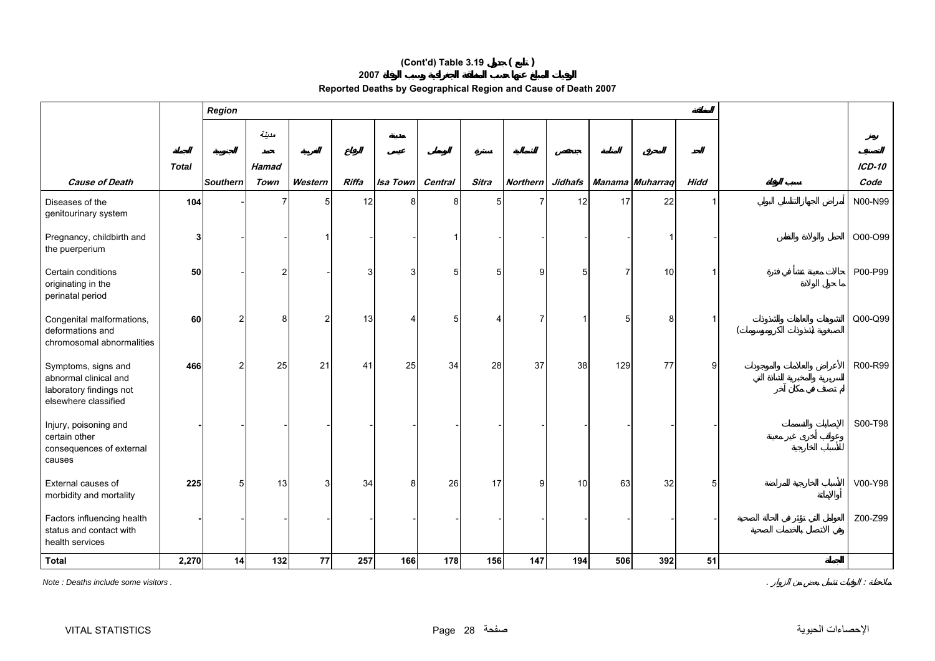# **(Cont'd) Table 3.19 ( )**

**2007**

| Reported Deaths by Geographical Region and Cause of Death 2007 |  |  |
|----------------------------------------------------------------|--|--|
|                                                                |  |  |

|                                                                                                 |              | Region          |              |                |       |          |         |       |                 |                |     |                 |             |               |
|-------------------------------------------------------------------------------------------------|--------------|-----------------|--------------|----------------|-------|----------|---------|-------|-----------------|----------------|-----|-----------------|-------------|---------------|
|                                                                                                 |              |                 | مدينة        |                |       |          |         |       |                 |                |     |                 |             |               |
|                                                                                                 | <b>Total</b> |                 | <b>Hamad</b> |                |       |          |         |       |                 |                |     |                 |             | <b>ICD-10</b> |
| <b>Cause of Death</b>                                                                           |              | <b>Southern</b> | Town         | Western        | Riffa | Isa Town | Central | Sitra | <b>Northern</b> | <b>Jidhafs</b> |     | Manama Muharraq | <b>Hidd</b> | Code          |
| Diseases of the<br>genitourinary system                                                         | 104          |                 |              | 5              | 12    | 8        | 8       | 5     |                 | 12             | 17  | 22              |             | N00-N99       |
| Pregnancy, childbirth and<br>the puerperium                                                     |              |                 |              |                |       |          |         |       |                 |                |     |                 |             | O00-O99       |
| Certain conditions<br>originating in the<br>perinatal period                                    | 50           |                 |              |                |       | 3        | 5       | 5     | 9               | 5              |     | 10              |             | P00-P99       |
| Congenital malformations,<br>deformations and<br>chromosomal abnormalities                      | 60           | $\mathcal{P}$   | 8            | $\overline{2}$ | 13    | Δ        | 5       |       |                 |                | 5   | 8               |             | $Q00-Q99$     |
| Symptoms, signs and<br>abnormal clinical and<br>laboratory findings not<br>elsewhere classified | 466          | $\overline{2}$  | 25           | 21             | 41    | 25       | 34      | 28    | 37              | 38             | 129 | 77              | 9           | R00-R99       |
| Injury, poisoning and<br>certain other<br>consequences of external<br>causes                    |              |                 |              |                |       |          |         |       |                 |                |     |                 |             | S00-T98       |
| External causes of<br>morbidity and mortality                                                   | 225          | 5               | 13           | 3              | 34    | 8        | 26      | 17    | 9               | 10             | 63  | 32              | 5           | V00-Y98       |
| Factors influencing health<br>status and contact with<br>health services                        |              |                 |              |                |       |          |         |       |                 |                |     |                 |             | Z00-Z99       |
| <b>Total</b>                                                                                    | 2,270        | 14              | $132$        | 77             | 257   | 166      | 178     | 156   | 147             | 194            | 506 | 392             | 51          |               |

*Note : Deaths include some visitors .* . :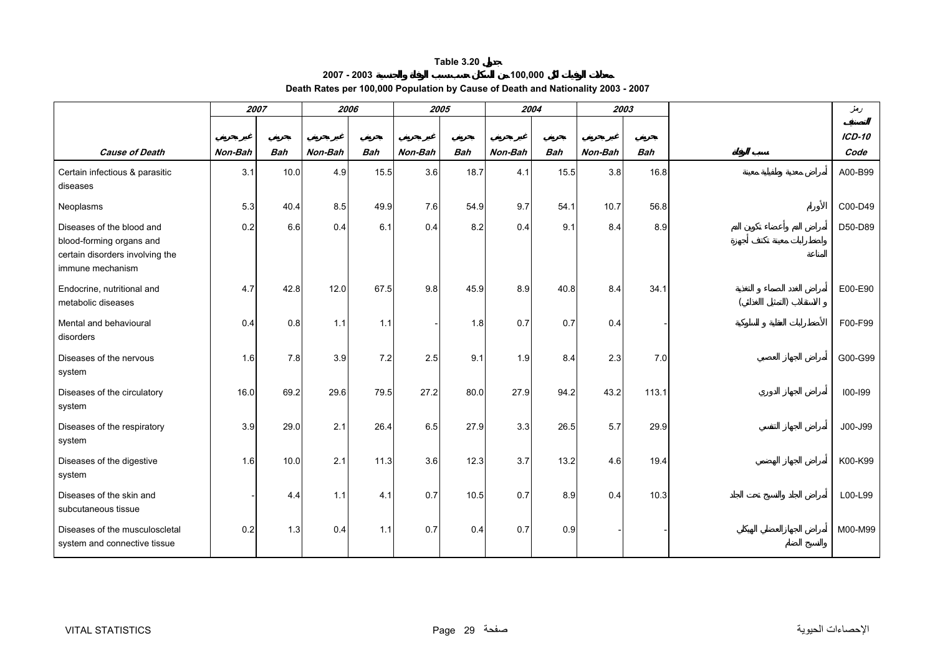**2007 - 2003**

# **100,000 Death Rates per 100,000 Population by Cause of Death and Nationality 2003 - 2007**

<span id="page-29-0"></span>

|                                                                                                              | 2007    |            |         | 2006       | 2005    |            |         | 2004       |         | 2003       | دمغر          |
|--------------------------------------------------------------------------------------------------------------|---------|------------|---------|------------|---------|------------|---------|------------|---------|------------|---------------|
|                                                                                                              |         |            |         |            |         |            |         |            |         |            | <b>ICD-10</b> |
| <b>Cause of Death</b>                                                                                        | Non-Bah | <b>Bah</b> | Non-Bah | <b>Bah</b> | Non-Bah | <b>Bah</b> | Non-Bah | <b>Bah</b> | Non-Bah | <b>Bah</b> | Code          |
| Certain infectious & parasitic<br>diseases                                                                   | 3.1     | 10.0       | 4.9     | 15.5       | 3.6     | 18.7       | 4.1     | 15.5       | 3.8     | 16.8       | A00-B99       |
| Neoplasms                                                                                                    | 5.3     | 40.4       | 8.5     | 49.9       | 7.6     | 54.9       | 9.7     | 54.1       | 10.7    | 56.8       | C00-D49       |
| Diseases of the blood and<br>blood-forming organs and<br>certain disorders involving the<br>immune mechanism | 0.2     | 6.6        | 0.4     | 6.1        | 0.4     | 8.2        | 0.4     | 9.1        | 8.4     | 8.9        | D50-D89       |
| Endocrine, nutritional and<br>metabolic diseases                                                             | 4.7     | 42.8       | 12.0    | 67.5       | 9.8     | 45.9       | 8.9     | 40.8       | 8.4     | 34.1       | E00-E90       |
| Mental and behavioural<br>disorders                                                                          | 0.4     | 0.8        | 1.1     | 1.1        |         | 1.8        | 0.7     | 0.7        | 0.4     |            | F00-F99       |
| Diseases of the nervous<br>system                                                                            | 1.6     | 7.8        | 3.9     | 7.2        | 2.5     | 9.1        | 1.9     | 8.4        | 2.3     | 7.0        | G00-G99       |
| Diseases of the circulatory<br>system                                                                        | 16.0    | 69.2       | 29.6    | 79.5       | 27.2    | 80.0       | 27.9    | 94.2       | 43.2    | 113.1      | 100-199       |
| Diseases of the respiratory<br>system                                                                        | 3.9     | 29.0       | 2.1     | 26.4       | 6.5     | 27.9       | 3.3     | 26.5       | 5.7     | 29.9       | J00-J99       |
| Diseases of the digestive<br>system                                                                          | 1.6     | 10.0       | 2.1     | 11.3       | 3.6     | 12.3       | 3.7     | 13.2       | 4.6     | 19.4       | K00-K99       |
| Diseases of the skin and<br>subcutaneous tissue                                                              |         | 4.4        | 1.1     | 4.1        | 0.7     | 10.5       | 0.7     | 8.9        | 0.4     | 10.3       | L00-L99       |
| Diseases of the musculoscletal<br>system and connective tissue                                               | 0.2     | 1.3        | 0.4     | 1.1        | 0.7     | 0.4        | 0.7     | 0.9        |         |            | M00-M99       |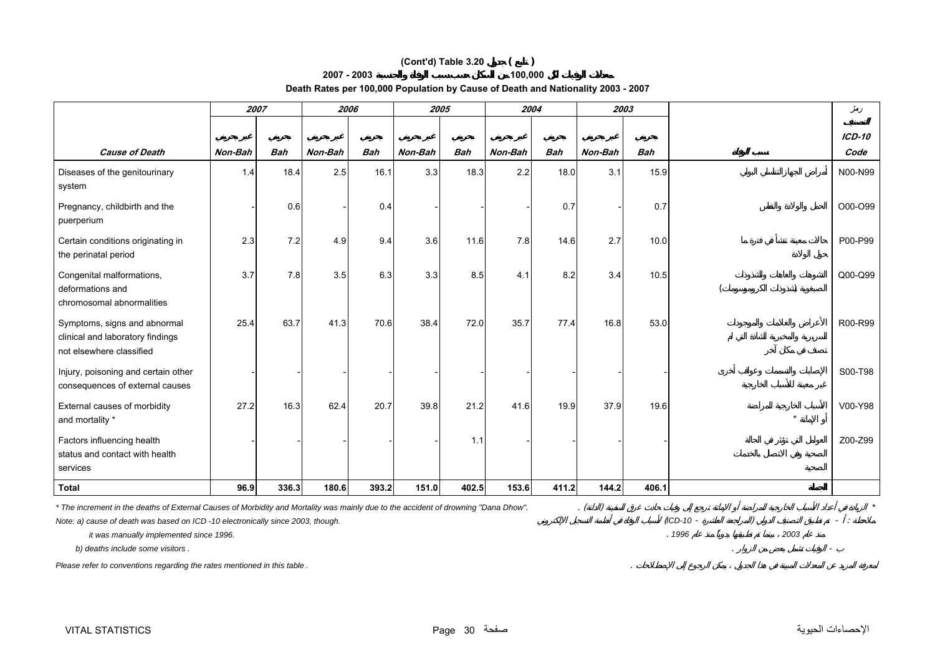# **(Cont'd) Table 3.20 ( )**

#### **2007 - 2003**

**Death Rates per 100,000 Population by Cause of Death and Nationality 2003 - 2007** 

**100,000**

|                                                                                              | 2007    |            | 2006    |            | 2005    |            | 2004    |            |         | 2003       |         | دمغر     |
|----------------------------------------------------------------------------------------------|---------|------------|---------|------------|---------|------------|---------|------------|---------|------------|---------|----------|
|                                                                                              |         |            |         |            |         |            |         |            |         |            |         | $ICD-10$ |
| <b>Cause of Death</b>                                                                        | Non-Bah | <b>Bah</b> | Non-Bah | <b>Bah</b> | Non-Bah | <b>Bah</b> | Non-Bah | <b>Bah</b> | Non-Bah | <b>Bah</b> |         | Code     |
| Diseases of the genitourinary<br>system                                                      | 1.4     | 18.4       | 2.5     | 16.1       | 3.3     | 18.3       | 2.2     | 18.0       | 3.1     | 15.9       |         | N00-N99  |
| Pregnancy, childbirth and the<br>puerperium                                                  |         | 0.6        |         | 0.4        |         |            |         | 0.7        |         | 0.7        |         | O00-O99  |
| Certain conditions originating in<br>the perinatal period                                    | 2.3     | 7.2        | 4.9     | 9.4        | 3.6     | 11.6       | 7.8     | 14.6       | 2.7     | 10.0       |         | P00-P99  |
| Congenital malformations,<br>deformations and<br>chromosomal abnormalities                   | 3.7     | 7.8        | 3.5     | 6.3        | 3.3     | 8.5        | 4.1     | 8.2        | 3.4     | 10.5       |         | Q00-Q99  |
| Symptoms, signs and abnormal<br>clinical and laboratory findings<br>not elsewhere classified | 25.4    | 63.7       | 41.3    | 70.6       | 38.4    | 72.0       | 35.7    | 77.4       | 16.8    | 53.0       |         | R00-R99  |
| Injury, poisoning and certain other<br>consequences of external causes                       |         |            |         |            |         |            |         |            |         |            |         | S00-T98  |
| External causes of morbidity<br>and mortality *                                              | 27.2    | 16.3       | 62.4    | 20.7       | 39.8    | 21.2       | 41.6    | 19.9       | 37.9    | 19.6       | $\star$ | V00-Y98  |
| Factors influencing health<br>status and contact with health<br>services                     |         |            |         |            |         | 1.1        |         |            |         |            |         | Z00-Z99  |
| <b>Total</b>                                                                                 | 96.9    | 336.3      | 180.6   | 393.2      | 151.0   | 402.5      | 153.6   | 411.2      | 144.2   | 406.1      |         |          |

*\* The increment in the deaths of External Causes of Morbidity and Mortality was mainly due to the accident of drowning "Dana Dhow".* . ( ) *\**

*Note: a) cause of death was based on ICD -10 electronically since 2003, though.* (*ICD-10* - ) - :

 *it was manually implemented since 1996.* . *1996 2003*

 $b)$  deaths include some visitors .

*Please refer to conventions regarding the rates mentioned in this table .* .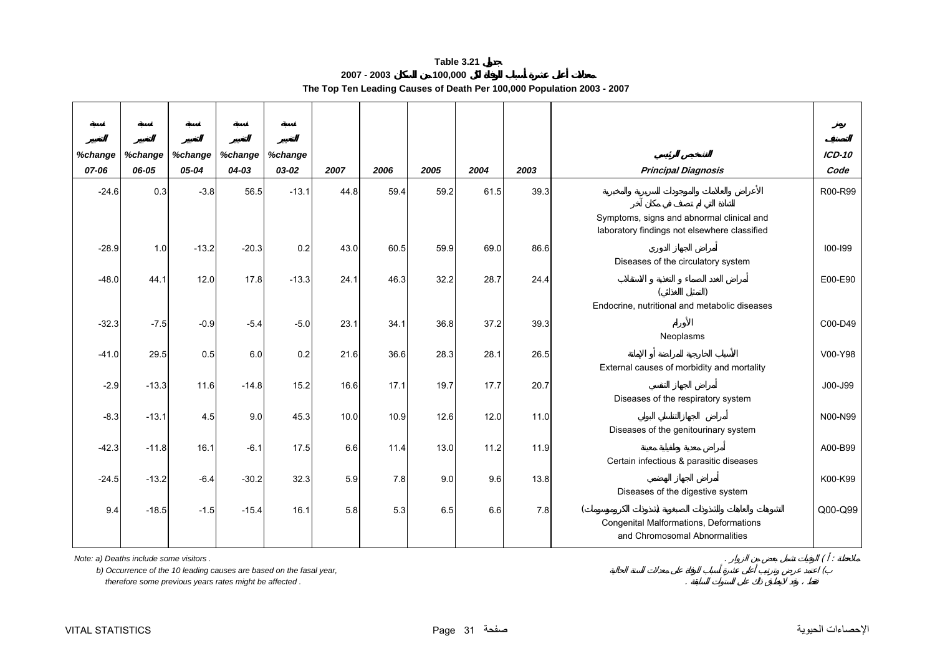**2007 - 2003 100,000 The Top Ten Leading Causes of Death Per 100,000 Population 2003 - 2007** 

<span id="page-31-0"></span>

| %change | %change | %change | %change | %change |      |      |      |      |      |                                                                                           | $ICD-10$    |
|---------|---------|---------|---------|---------|------|------|------|------|------|-------------------------------------------------------------------------------------------|-------------|
| 07-06   | 06-05   | 05-04   | 04-03   | 03-02   | 2007 | 2006 | 2005 | 2004 | 2003 | <b>Principal Diagnosis</b>                                                                | Code        |
| $-24.6$ | 0.3     | $-3.8$  | 56.5    | $-13.1$ | 44.8 | 59.4 | 59.2 | 61.5 | 39.3 |                                                                                           | R00-R99     |
|         |         |         |         |         |      |      |      |      |      | Symptoms, signs and abnormal clinical and<br>laboratory findings not elsewhere classified |             |
| $-28.9$ | 1.0     | $-13.2$ | $-20.3$ | 0.2     | 43.0 | 60.5 | 59.9 | 69.0 | 86.6 |                                                                                           | $100 - 199$ |
|         |         |         |         |         |      |      |      |      |      | Diseases of the circulatory system                                                        |             |
| $-48.0$ | 44.1    | 12.0    | 17.8    | $-13.3$ | 24.1 | 46.3 | 32.2 | 28.7 | 24.4 |                                                                                           | E00-E90     |
|         |         |         |         |         |      |      |      |      |      | Endocrine, nutritional and metabolic diseases                                             |             |
| $-32.3$ | $-7.5$  | $-0.9$  | $-5.4$  | $-5.0$  | 23.1 | 34.1 | 36.8 | 37.2 | 39.3 |                                                                                           | C00-D49     |
|         |         |         |         |         |      |      |      |      |      | Neoplasms                                                                                 |             |
| $-41.0$ | 29.5    | 0.5     | 6.0     | 0.2     | 21.6 | 36.6 | 28.3 | 28.1 | 26.5 |                                                                                           | V00-Y98     |
|         |         |         |         |         |      |      |      |      |      | External causes of morbidity and mortality                                                |             |
| $-2.9$  | $-13.3$ | 11.6    | $-14.8$ | 15.2    | 16.6 | 17.1 | 19.7 | 17.7 | 20.7 |                                                                                           | J00-J99     |
|         |         |         |         |         |      |      |      |      |      | Diseases of the respiratory system                                                        |             |
| $-8.3$  | $-13.1$ | 4.5     | 9.0     | 45.3    | 10.0 | 10.9 | 12.6 | 12.0 | 11.0 |                                                                                           | N00-N99     |
|         |         |         |         |         |      |      |      |      |      | Diseases of the genitourinary system                                                      |             |
| $-42.3$ | $-11.8$ | 16.1    | $-6.1$  | 17.5    | 6.6  | 11.4 | 13.0 | 11.2 | 11.9 |                                                                                           | A00-B99     |
|         |         |         |         |         |      |      |      |      |      | Certain infectious & parasitic diseases                                                   |             |
| $-24.5$ | $-13.2$ | $-6.4$  | $-30.2$ | 32.3    | 5.9  | 7.8  | 9.0  | 9.6  | 13.8 |                                                                                           | K00-K99     |
|         |         |         |         |         |      |      |      |      |      | Diseases of the digestive system                                                          |             |
| 9.4     | $-18.5$ | $-1.5$  | $-15.4$ | 16.1    | 5.8  | 5.3  | 6.5  | 6.6  | 7.8  | Congenital Malformations, Deformations                                                    | Q00-Q99     |
|         |         |         |         |         |      |      |      |      |      | and Chromosomal Abnormalities                                                             |             |
|         |         |         |         |         |      |      |      |      |      |                                                                                           |             |

*Note: a) Deaths include some visitors .* . ( :

 *b) Occurrence of the 10 leading causes are based on the fasal year,* (

 *therefore some previous years rates might be affected .* .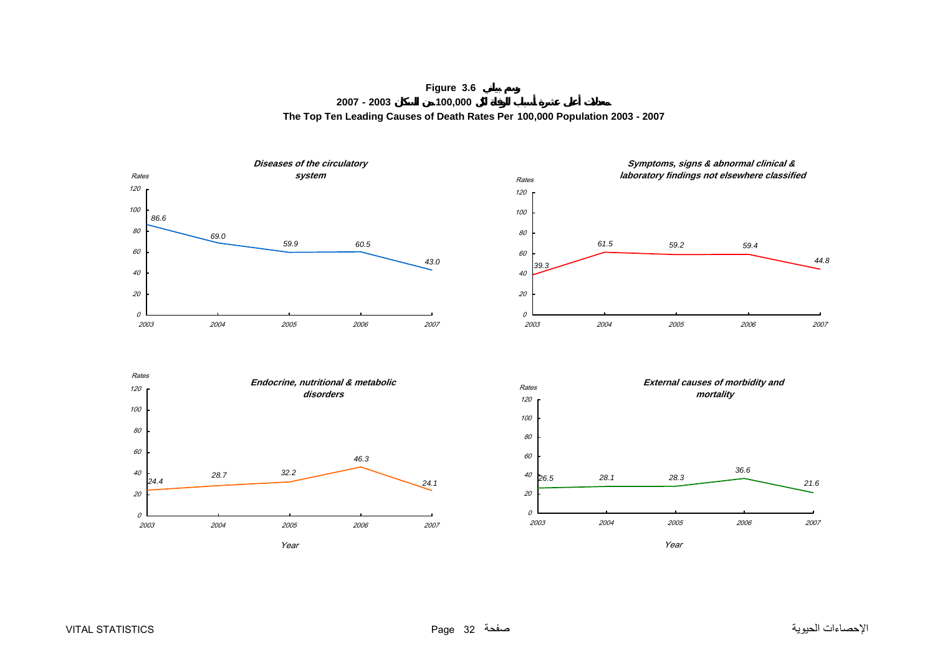**Figure 3.6 2007 - 2003 100,000 The Top Ten Leading Causes of Death Rates Per 100,000 Population 2003 - 2007**

<span id="page-32-0"></span>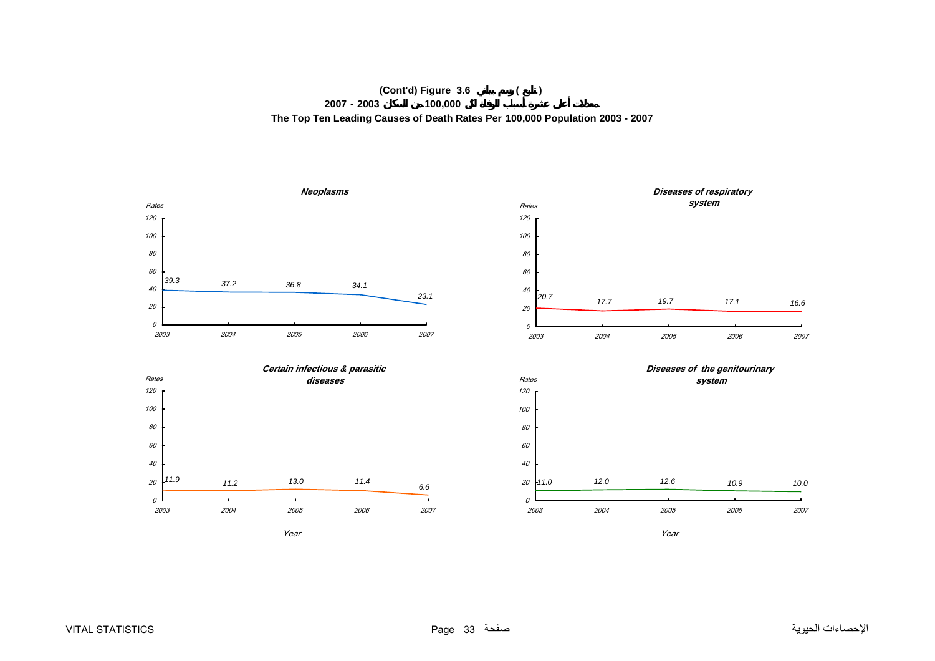# **(Cont'd) Figure 3.6 ( ) 2007 - 2003 100,000 The Top Ten Leading Causes of Death Rates Per 100,000 Population 2003 - 2007**

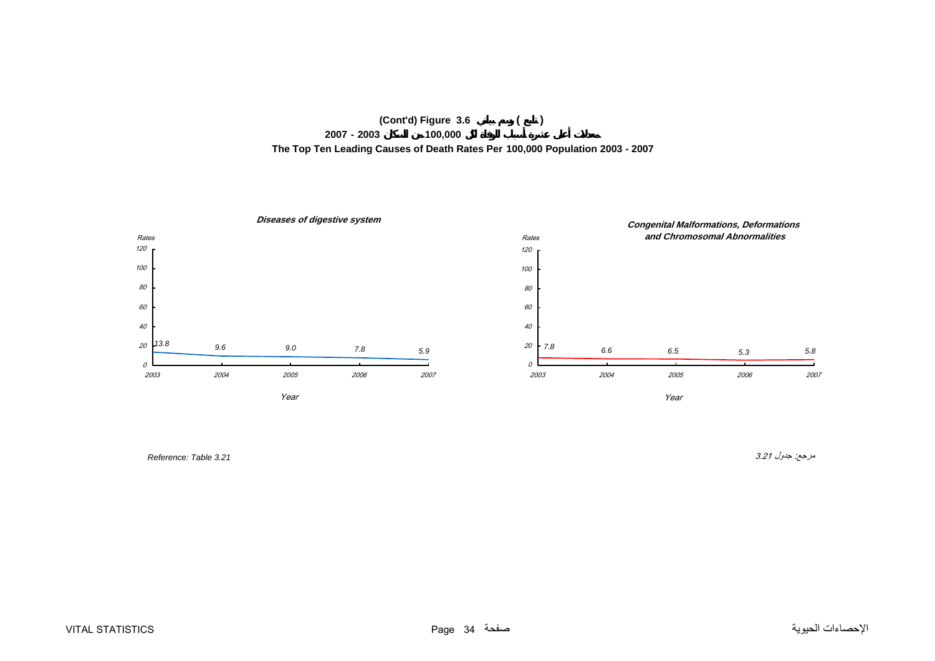



مرجع: جدول 3.21 *3.21 Table :Reference*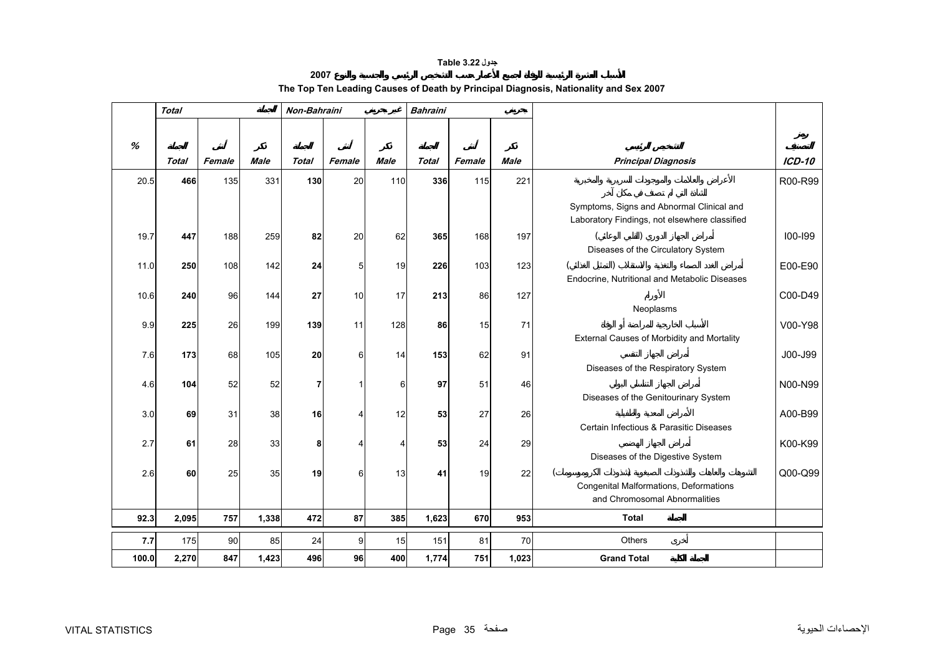## **جدول 3.22 Table**

# **2007The Top Ten Leading Causes of Death by Principal Diagnosis, Nationality and Sex 2007**

<span id="page-35-0"></span>

|       | <b>Total</b> |        |             | Non-Bahraini |        |                | <b>Bahraini</b> |        |             |                                                                                            |               |
|-------|--------------|--------|-------------|--------------|--------|----------------|-----------------|--------|-------------|--------------------------------------------------------------------------------------------|---------------|
|       |              |        |             |              |        |                |                 |        |             |                                                                                            |               |
| %     |              |        |             |              |        |                |                 |        |             |                                                                                            |               |
|       | <b>Total</b> | Female | <b>Male</b> | <b>Total</b> | Female | <b>Male</b>    | <b>Total</b>    | Female | <b>Male</b> | <b>Principal Diagnosis</b>                                                                 | <b>ICD-10</b> |
| 20.5  | 466          | 135    | 331         | 130          | 20     | 110            | 336             | 115    | 221         |                                                                                            | R00-R99       |
|       |              |        |             |              |        |                |                 |        |             | Symptoms, Signs and Abnormal Clinical and<br>Laboratory Findings, not elsewhere classified |               |
| 19.7  | 447          | 188    | 259         | 82           | 20     | 62             | 365             | 168    | 197         |                                                                                            | 100-199       |
|       |              |        |             |              |        |                |                 |        |             | Diseases of the Circulatory System                                                         |               |
| 11.0  | 250          | 108    | 142         | 24           | 5      | 19             | 226             | 103    | 123         |                                                                                            | E00-E90       |
|       |              |        |             |              |        |                |                 |        |             | Endocrine, Nutritional and Metabolic Diseases                                              |               |
| 10.6  | 240          | 96     | 144         | 27           | 10     | 17             | 213             | 86     | 127         | Neoplasms                                                                                  | C00-D49       |
| 9.9   | 225          | 26     | 199         | 139          | 11     | 128            | 86              | 15     | 71          |                                                                                            | V00-Y98       |
|       |              |        |             |              |        |                |                 |        |             | External Causes of Morbidity and Mortality                                                 |               |
| 7.6   | 173          | 68     | 105         | 20           | 6      | 14             | 153             | 62     | 91          |                                                                                            | J00-J99       |
|       |              |        |             |              |        |                |                 |        |             | Diseases of the Respiratory System                                                         |               |
| 4.6   | 104          | 52     | 52          |              | 1      | 6              | 97              | 51     | 46          |                                                                                            | N00-N99       |
|       |              |        |             |              |        |                |                 |        |             | Diseases of the Genitourinary System                                                       |               |
| 3.0   | 69           | 31     | 38          | 16           | 4      | 12             | 53              | 27     | 26          | Certain Infectious & Parasitic Diseases                                                    | A00-B99       |
|       |              |        |             |              |        |                |                 |        |             |                                                                                            |               |
| 2.7   | 61           | 28     | 33          | 8            | 4      | $\overline{4}$ | 53              | 24     | 29          | Diseases of the Digestive System                                                           | K00-K99       |
| 2.6   | 60           | 25     | 35          | 19           | 6      | 13             | 41              | 19     | 22          |                                                                                            | Q00-Q99       |
|       |              |        |             |              |        |                |                 |        |             | Congenital Malformations, Deformations                                                     |               |
|       |              |        |             |              |        |                |                 |        |             | and Chromosomal Abnormalities                                                              |               |
| 92.3  | 2,095        | 757    | 1,338       | 472          | 87     | 385            | 1,623           | 670    | 953         | Total                                                                                      |               |
| 7.7   | 175          | 90     | 85          | 24           | 9      | 15             | 151             | 81     | 70          | <b>Others</b>                                                                              |               |
| 100.0 | 2,270        | 847    | 1,423       | 496          | 96     | 400            | 1,774           | 751    | 1,023       | <b>Grand Total</b>                                                                         |               |